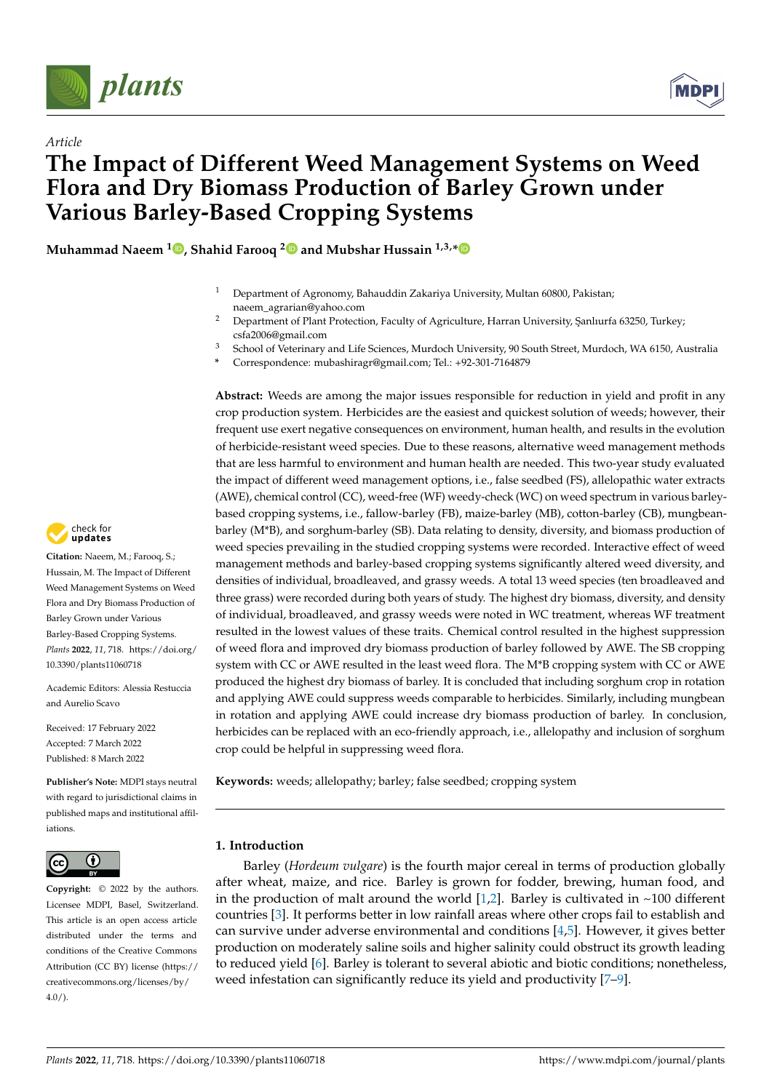



# *Article* **The Impact of Different Weed Management Systems on Weed Flora and Dry Biomass Production of Barley Grown under Various Barley-Based Cropping Systems**

**Muhammad Naeem <sup>1</sup> [,](https://orcid.org/0000-0001-9896-4761) Shahid Farooq [2](https://orcid.org/0000-0002-6349-1404) and Mubshar Hussain 1,3,[\\*](https://orcid.org/0000-0002-0696-6282)**

- <sup>1</sup> Department of Agronomy, Bahauddin Zakariya University, Multan 60800, Pakistan; naeem\_agrarian@yahoo.com
- <sup>2</sup> Department of Plant Protection, Faculty of Agriculture, Harran University, Sanlıurfa 63250, Turkey; csfa2006@gmail.com
- <sup>3</sup> School of Veterinary and Life Sciences, Murdoch University, 90 South Street, Murdoch, WA 6150, Australia
- **\*** Correspondence: mubashiragr@gmail.com; Tel.: +92-301-7164879

**Abstract:** Weeds are among the major issues responsible for reduction in yield and profit in any crop production system. Herbicides are the easiest and quickest solution of weeds; however, their frequent use exert negative consequences on environment, human health, and results in the evolution of herbicide-resistant weed species. Due to these reasons, alternative weed management methods that are less harmful to environment and human health are needed. This two-year study evaluated the impact of different weed management options, i.e., false seedbed (FS), allelopathic water extracts (AWE), chemical control (CC), weed-free (WF) weedy-check (WC) on weed spectrum in various barleybased cropping systems, i.e., fallow-barley (FB), maize-barley (MB), cotton-barley (CB), mungbeanbarley (M\*B), and sorghum-barley (SB). Data relating to density, diversity, and biomass production of weed species prevailing in the studied cropping systems were recorded. Interactive effect of weed management methods and barley-based cropping systems significantly altered weed diversity, and densities of individual, broadleaved, and grassy weeds. A total 13 weed species (ten broadleaved and three grass) were recorded during both years of study. The highest dry biomass, diversity, and density of individual, broadleaved, and grassy weeds were noted in WC treatment, whereas WF treatment resulted in the lowest values of these traits. Chemical control resulted in the highest suppression of weed flora and improved dry biomass production of barley followed by AWE. The SB cropping system with CC or AWE resulted in the least weed flora. The M\*B cropping system with CC or AWE produced the highest dry biomass of barley. It is concluded that including sorghum crop in rotation and applying AWE could suppress weeds comparable to herbicides. Similarly, including mungbean in rotation and applying AWE could increase dry biomass production of barley. In conclusion, herbicides can be replaced with an eco-friendly approach, i.e., allelopathy and inclusion of sorghum crop could be helpful in suppressing weed flora.

**Keywords:** weeds; allelopathy; barley; false seedbed; cropping system

# **1. Introduction**

Barley (*Hordeum vulgare*) is the fourth major cereal in terms of production globally after wheat, maize, and rice. Barley is grown for fodder, brewing, human food, and in the production of malt around the world  $[1,2]$  $[1,2]$ . Barley is cultivated in ~100 different countries [\[3\]](#page-14-2). It performs better in low rainfall areas where other crops fail to establish and can survive under adverse environmental and conditions [\[4,](#page-14-3)[5\]](#page-14-4). However, it gives better production on moderately saline soils and higher salinity could obstruct its growth leading to reduced yield [\[6\]](#page-14-5). Barley is tolerant to several abiotic and biotic conditions; nonetheless, weed infestation can significantly reduce its yield and productivity [\[7](#page-14-6)[–9\]](#page-14-7).



**Citation:** Naeem, M.; Farooq, S.; Hussain, M. The Impact of Different Weed Management Systems on Weed Flora and Dry Biomass Production of Barley Grown under Various Barley-Based Cropping Systems. *Plants* **2022**, *11*, 718. [https://doi.org/](https://doi.org/10.3390/plants11060718) [10.3390/plants11060718](https://doi.org/10.3390/plants11060718)

Academic Editors: Alessia Restuccia and Aurelio Scavo

Received: 17 February 2022 Accepted: 7 March 2022 Published: 8 March 2022

**Publisher's Note:** MDPI stays neutral with regard to jurisdictional claims in published maps and institutional affiliations.



**Copyright:** © 2022 by the authors. Licensee MDPI, Basel, Switzerland. This article is an open access article distributed under the terms and conditions of the Creative Commons Attribution (CC BY) license [\(https://](https://creativecommons.org/licenses/by/4.0/) [creativecommons.org/licenses/by/](https://creativecommons.org/licenses/by/4.0/)  $4.0/$ ).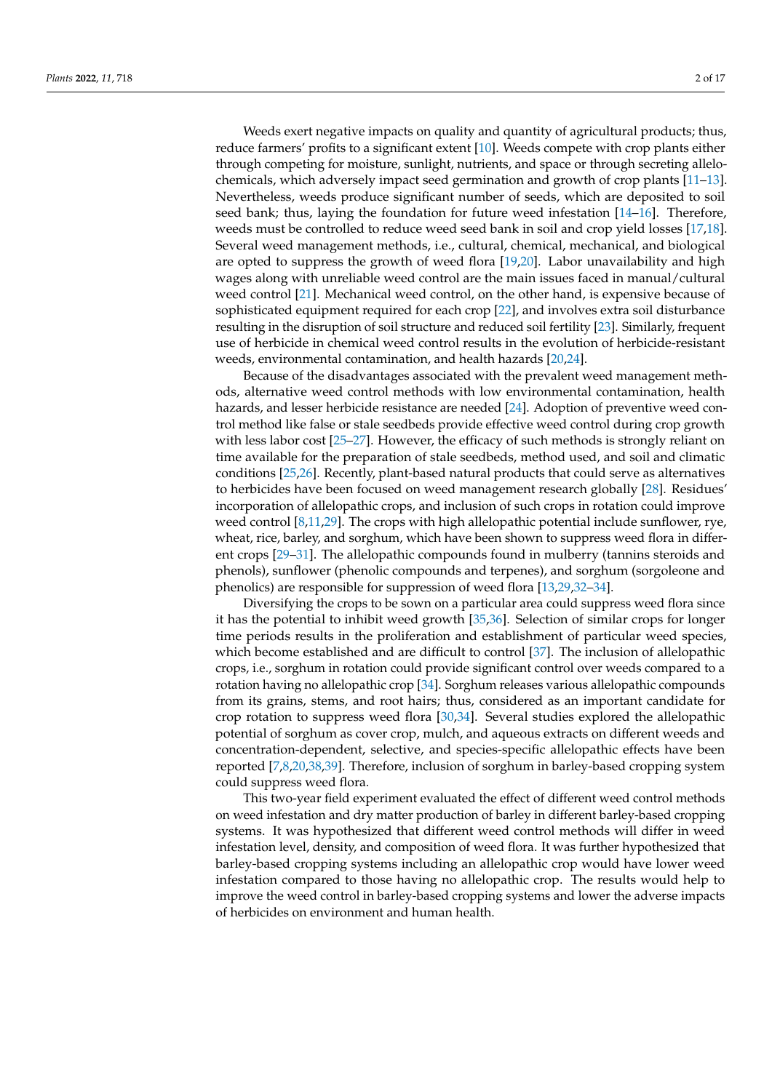Weeds exert negative impacts on quality and quantity of agricultural products; thus, reduce farmers' profits to a significant extent [\[10\]](#page-14-8). Weeds compete with crop plants either through competing for moisture, sunlight, nutrients, and space or through secreting allelochemicals, which adversely impact seed germination and growth of crop plants [\[11](#page-14-9)[–13\]](#page-14-10). Nevertheless, weeds produce significant number of seeds, which are deposited to soil seed bank; thus, laying the foundation for future weed infestation [\[14–](#page-14-11)[16\]](#page-14-12). Therefore, weeds must be controlled to reduce weed seed bank in soil and crop yield losses [\[17,](#page-14-13)[18\]](#page-15-0). Several weed management methods, i.e., cultural, chemical, mechanical, and biological are opted to suppress the growth of weed flora [\[19,](#page-15-1)[20\]](#page-15-2). Labor unavailability and high wages along with unreliable weed control are the main issues faced in manual/cultural weed control [\[21\]](#page-15-3). Mechanical weed control, on the other hand, is expensive because of sophisticated equipment required for each crop [\[22\]](#page-15-4), and involves extra soil disturbance resulting in the disruption of soil structure and reduced soil fertility [\[23\]](#page-15-5). Similarly, frequent use of herbicide in chemical weed control results in the evolution of herbicide-resistant weeds, environmental contamination, and health hazards [\[20](#page-15-2)[,24\]](#page-15-6).

Because of the disadvantages associated with the prevalent weed management methods, alternative weed control methods with low environmental contamination, health hazards, and lesser herbicide resistance are needed [\[24\]](#page-15-6). Adoption of preventive weed control method like false or stale seedbeds provide effective weed control during crop growth with less labor cost [\[25](#page-15-7)[–27\]](#page-15-8). However, the efficacy of such methods is strongly reliant on time available for the preparation of stale seedbeds, method used, and soil and climatic conditions [\[25,](#page-15-7)[26\]](#page-15-9). Recently, plant-based natural products that could serve as alternatives to herbicides have been focused on weed management research globally [\[28\]](#page-15-10). Residues' incorporation of allelopathic crops, and inclusion of such crops in rotation could improve weed control [\[8,](#page-14-14)[11,](#page-14-9)[29\]](#page-15-11). The crops with high allelopathic potential include sunflower, rye, wheat, rice, barley, and sorghum, which have been shown to suppress weed flora in different crops [\[29–](#page-15-11)[31\]](#page-15-12). The allelopathic compounds found in mulberry (tannins steroids and phenols), sunflower (phenolic compounds and terpenes), and sorghum (sorgoleone and phenolics) are responsible for suppression of weed flora [\[13](#page-14-10)[,29,](#page-15-11)[32–](#page-15-13)[34\]](#page-15-14).

Diversifying the crops to be sown on a particular area could suppress weed flora since it has the potential to inhibit weed growth [\[35](#page-15-15)[,36\]](#page-15-16). Selection of similar crops for longer time periods results in the proliferation and establishment of particular weed species, which become established and are difficult to control [\[37\]](#page-15-17). The inclusion of allelopathic crops, i.e., sorghum in rotation could provide significant control over weeds compared to a rotation having no allelopathic crop [\[34\]](#page-15-14). Sorghum releases various allelopathic compounds from its grains, stems, and root hairs; thus, considered as an important candidate for crop rotation to suppress weed flora [\[30,](#page-15-18)[34\]](#page-15-14). Several studies explored the allelopathic potential of sorghum as cover crop, mulch, and aqueous extracts on different weeds and concentration-dependent, selective, and species-specific allelopathic effects have been reported [\[7,](#page-14-6)[8,](#page-14-14)[20,](#page-15-2)[38,](#page-15-19)[39\]](#page-15-20). Therefore, inclusion of sorghum in barley-based cropping system could suppress weed flora.

This two-year field experiment evaluated the effect of different weed control methods on weed infestation and dry matter production of barley in different barley-based cropping systems. It was hypothesized that different weed control methods will differ in weed infestation level, density, and composition of weed flora. It was further hypothesized that barley-based cropping systems including an allelopathic crop would have lower weed infestation compared to those having no allelopathic crop. The results would help to improve the weed control in barley-based cropping systems and lower the adverse impacts of herbicides on environment and human health.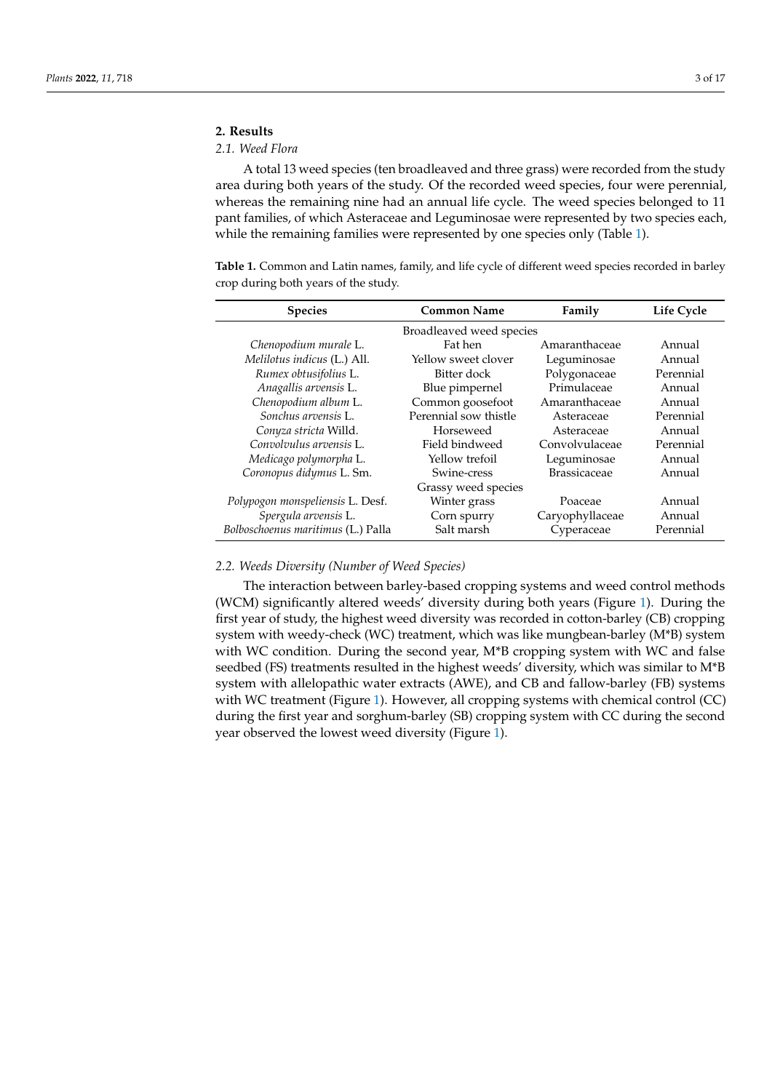# **2. Results**

# *2.1. Weed Flora*

A total 13 weed species (ten broadleaved and three grass) were recorded from the study area during both years of the study. Of the recorded weed species, four were perennial, whereas the remaining nine had an annual life cycle. The weed species belonged to 11 pant families, of which Asteraceae and Leguminosae were represented by two species each, while the remaining families were represented by one species only (Table [1\)](#page-2-0).

<span id="page-2-0"></span>**Table 1.** Common and Latin names, family, and life cycle of different weed species recorded in barley crop during both years of the study.

| <b>Species</b>                     | <b>Common Name</b>       | Family              | Life Cycle |
|------------------------------------|--------------------------|---------------------|------------|
|                                    | Broadleaved weed species |                     |            |
| Chenopodium murale L.              | Fat hen                  | Amaranthaceae       | Annual     |
| Melilotus indicus (L.) All.        | Yellow sweet clover      | Leguminosae         | Annual     |
| Rumex obtusifolius L.              | Bitter dock              | Polygonaceae        | Perennial  |
| Anagallis arvensis L.              | Blue pimpernel           | Primulaceae         | Annual     |
| Chenopodium album L.               | Common goosefoot         | Amaranthaceae       | Annual     |
| Sonchus arvensis L.                | Perennial sow thistle    | Asteraceae          | Perennial  |
| Conyza stricta Willd.              | Horseweed                | Asteraceae          | Annual     |
| Convolvulus arvensis L.            | Field bindweed           | Convolvulaceae      | Perennial  |
| Medicago polymorpha L.             | Yellow trefoil           | Leguminosae         | Annual     |
| Coronopus didymus L. Sm.           | Swine-cress              | <b>Brassicaceae</b> | Annual     |
|                                    | Grassy weed species      |                     |            |
| Polypogon monspeliensis L. Desf.   | Winter grass             | Poaceae             | Annual     |
| Spergula arvensis L.               | Corn spurry              | Caryophyllaceae     | Annual     |
| Bolboschoenus maritimus (L.) Palla | Salt marsh               | Cyperaceae          | Perennial  |

# *2.2. Weeds Diversity (Number of Weed Species)*

The interaction between barley-based cropping systems and weed control methods (WCM) significantly altered weeds' diversity during both years (Figure [1\)](#page-3-0). During the first year of study, the highest weed diversity was recorded in cotton-barley (CB) cropping system with weedy-check (WC) treatment, which was like mungbean-barley (M\*B) system with WC condition. During the second year, M\*B cropping system with WC and false seedbed (FS) treatments resulted in the highest weeds' diversity, which was similar to M\*B system with allelopathic water extracts (AWE), and CB and fallow-barley (FB) systems with WC treatment (Figure [1\)](#page-3-0). However, all cropping systems with chemical control (CC) during the first year and sorghum-barley (SB) cropping system with CC during the second year observed the lowest weed diversity (Figure [1\)](#page-3-0).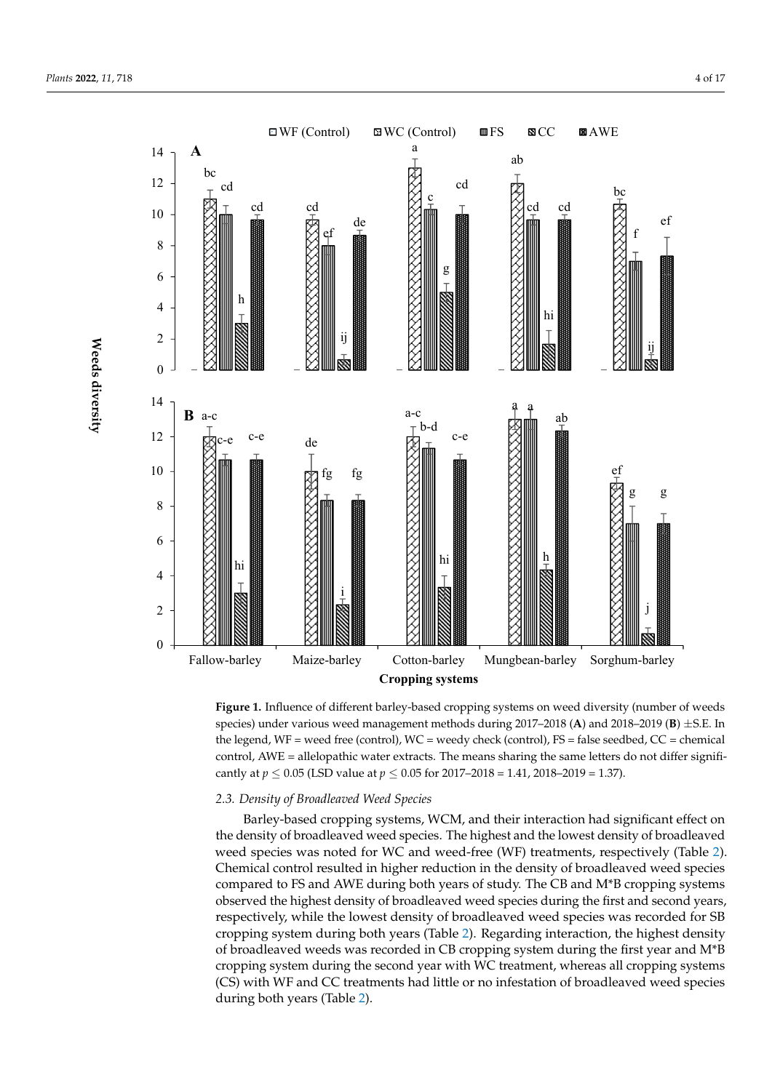<span id="page-3-0"></span>



species) under various weed management methods during 2017–2018 (A) and 2018–2019 (**B**)  $\pm$ S.E. In the legend, WF = weed free (control), WC = weedy check (control), FS = false seedbed, CC = chemical cantly at  $p \le 0.05$  (LSD value at  $p \le 0.05$  for 2017–2018 = 1.41, 2018–2019 = 1.37). **Figure 1.** Influence of different barley-based cropping systems on weed diversity (number of weeds control, AWE = allelopathic water extracts. The means sharing the same letters do not differ signifi-

# bed, CC = chemical control, AWE = allelopathic water extracts. The means sharing the 2.3. Density of Broadleaved Weed Species

Barley-based cropping systems, WCM, and their interaction had significant effect on *2.3. Density of Broadleaved Weed Species*  weed species was noted for WC and weed-free (WF) treatments, respectively (Table [2\)](#page-4-0). Chemical control resulted in higher reduction in the density of broadleaved weed species compared to FS and AWE during both years of study. The CB and M\*B cropping systems observed the highest density of broadleaved weed species during the first and second years,  $\overline{C}$ respectively, while the lowest density of broadleaved weed species was recorded for SB cropping system during both years (Table [2\)](#page-4-0). Regarding interaction, the highest density of broadleaved weeds was recorded in CB cropping system during the first year and M\*B the density of broadleaved weed species. The highest and the lowest density of broadleaved cropping system during the second year with WC treatment, whereas all cropping systems (CS) with WF and CC treatments had little or no infestation of broadleaved weed species during both years (Table [2\)](#page-4-0).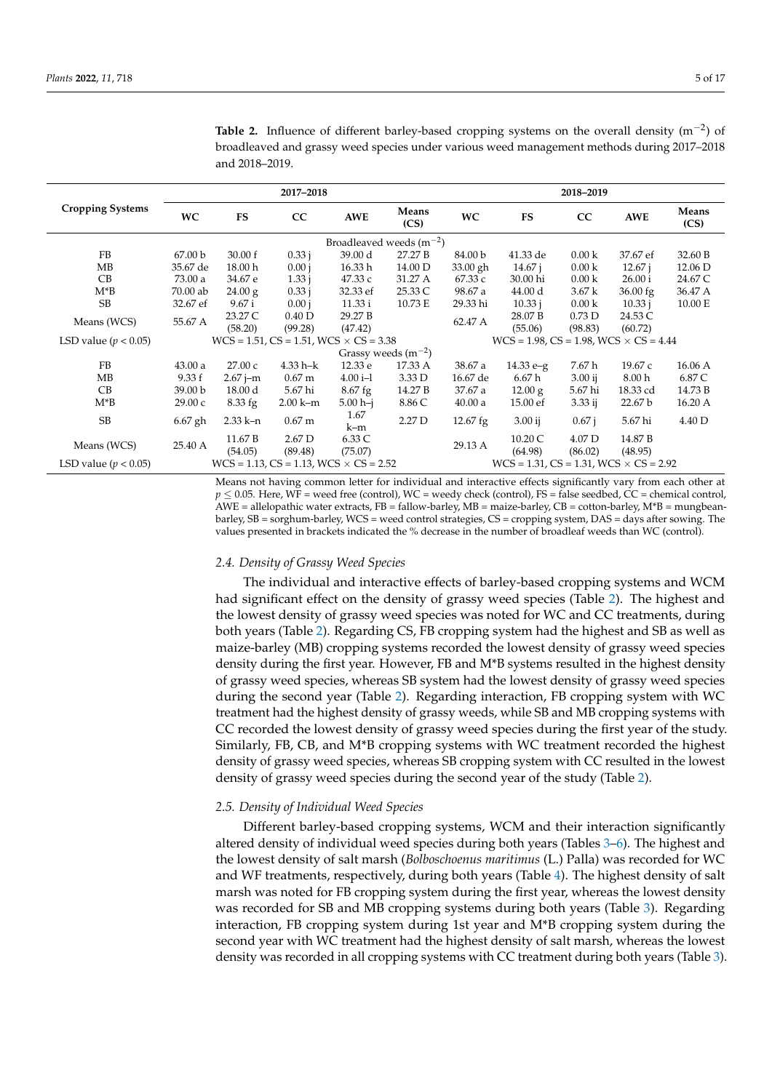|                          |                              |              | 2017-2018                                           |                    |                         |            |                                                     | 2018-2019         |                   |               |
|--------------------------|------------------------------|--------------|-----------------------------------------------------|--------------------|-------------------------|------------|-----------------------------------------------------|-------------------|-------------------|---------------|
| <b>Cropping Systems</b>  | <b>WC</b>                    | <b>FS</b>    | CC                                                  | <b>AWE</b>         | Means<br>(CS)           | <b>WC</b>  | <b>FS</b>                                           | CC                | <b>AWE</b>        | Means<br>(CS) |
|                          | Broadleaved weeds $(m^{-2})$ |              |                                                     |                    |                         |            |                                                     |                   |                   |               |
| FB                       | 67.00 b                      | 30.00 f      | 0.33 i                                              | 39.00 d            | 27.27 B                 | 84.00 b    | 41.33 de                                            | 0.00 <sub>k</sub> | 37.67 ef          | 32.60 B       |
| MB                       | 35.67 de                     | 18.00 h      | 0.00 i                                              | 16.33 h            | 14.00 D                 | 33.00 gh   | 14.67 i                                             | 0.00 <sub>k</sub> | $12.67$ j         | 12.06 D       |
| CB                       | 73.00 a                      | 34.67 e      | 1.33 i                                              | 47.33 с            | 31.27 A                 | 67.33 с    | 30.00 hi                                            | 0.00 <sub>k</sub> | 26.00 i           | 24.67 C       |
| $M^*B$                   | 70.00 ab                     | 24.00 g      | 0.33 i                                              | 32.33 ef           | 25.33 C                 | 98.67 a    | 44.00 d                                             | 3.67k             | 36.00 fg          | 36.47 A       |
| SB.                      | 32.67 ef                     | 9.67 i       | 0.00 i                                              | 11.33 i            | 10.73 E                 | 29.33 hi   | 10.33 i                                             | 0.00 <sub>k</sub> | 10.33 i           | 10.00 E       |
| Means (WCS)              | 55.67 A                      | 23.27 C      | 0.40 <sub>D</sub>                                   | 29.27 <sub>B</sub> |                         | 62.47 A    | 28.07 B                                             | 0.73D             | 24.53 C           |               |
|                          |                              | (58.20)      | (99.28)                                             | (47.42)            |                         |            | (55.06)                                             | (98.83)           | (60.72)           |               |
| LSD value ( $p < 0.05$ ) |                              |              | $WCS = 1.51$ , $CS = 1.51$ , $WCS \times CS = 3.38$ |                    |                         |            | $WCS = 1.98$ , $CS = 1.98$ , $WCS \times CS = 4.44$ |                   |                   |               |
|                          |                              |              |                                                     |                    | Grassy weeds $(m^{-2})$ |            |                                                     |                   |                   |               |
| FB                       | 43.00 a                      | 27.00c       | $4.33 h - k$                                        | 12.33 e            | 17.33 A                 | 38.67 a    | $14.33 e-g$                                         | 7.67 h            | 19.67 c           | 16.06 A       |
| MB                       | 9.33 f                       | $2.67$ j-m   | 0.67 <sub>m</sub>                                   | $4.00 i-1$         | 3.33 D                  | 16.67 de   | 6.67h                                               | $3.00$ ij         | 8.00 <sub>h</sub> | 6.87 C        |
| CB                       | 39.00 <sub>b</sub>           | 18.00 d      | 5.67 hi                                             | 8.67 fg            | 14.27 B                 | 37.67 a    | 12.00 g                                             | 5.67 hi           | 18.33 cd          | 14.73 B       |
| $M^*B$                   | 29.00 c                      | 8.33 fg      | $2.00 \text{ k-m}$                                  | $5.00 h-j$         | 8.86 C                  | 40.00a     | 15.00 ef                                            | $3.33$ ij         | 22.67 b           | 16.20 A       |
| <b>SB</b>                | $6.67$ gh                    | $2.33 k - n$ | 0.67 <sub>m</sub>                                   | 1.67               | 2.27 D                  | $12.67$ fg | $3.00$ ij                                           | $0.67$ j          | 5.67 hi           | 4.40 D        |
|                          |                              |              |                                                     | k-m                |                         |            |                                                     |                   |                   |               |
| Means (WCS)              | 25.40 A                      | 11.67 B      | 2.67 D                                              | 6.33 C             |                         | 29.13 A    | 10.20 C                                             | 4.07 D            | 14.87 B           |               |
|                          |                              | (54.05)      | (89.48)                                             | (75.07)            |                         |            | (64.98)                                             | (86.02)           | (48.95)           |               |
| LSD value ( $p < 0.05$ ) |                              |              | $WCS = 1.13$ , $CS = 1.13$ , $WCS \times CS = 2.52$ |                    |                         |            | $WCS = 1.31$ , $CS = 1.31$ , $WCS \times CS = 2.92$ |                   |                   |               |

<span id="page-4-0"></span>**Table 2.** Influence of different barley-based cropping systems on the overall density  $(m^{-2})$  of broadleaved and grassy weed species under various weed management methods during 2017-2018 and 2018-2019.

Means not having common letter for individual and interactive effects significantly vary from each other at  $p \le 0.05$ . Here, WF = weed free (control), WC = weedy check (control), FS = false seedbed, CC = chemical control,  $AWE = allelopathic water extracts, FB = fallow-barley, MB = maize-barley, CB = cotton-barley, M*B = mungbean$ barley, SB = sorghum-barley, WCS = weed control strategies, CS = cropping system, DAS = days after sowing. The values presented in brackets indicated the % decrease in the number of broadleaf weeds than WC (control).

## 2.4. Density of Grassy Weed Species

The individual and interactive effects of barley-based cropping systems and WCM had significant effect on the density of grassy weed species (Table 2). The highest and the lowest density of grassy weed species was noted for WC and CC treatments, during both years (Table 2). Regarding CS, FB cropping system had the highest and SB as well as maize-barley (MB) cropping systems recorded the lowest density of grassy weed species density during the first year. However, FB and M\*B systems resulted in the highest density of grassy weed species, whereas SB system had the lowest density of grassy weed species during the second year (Table 2). Regarding interaction, FB cropping system with WC treatment had the highest density of grassy weeds, while SB and MB cropping systems with CC recorded the lowest density of grassy weed species during the first year of the study. Similarly, FB, CB, and M\*B cropping systems with WC treatment recorded the highest density of grassy weed species, whereas SB cropping system with CC resulted in the lowest density of grassy weed species during the second year of the study (Table 2).

# 2.5. Density of Individual Weed Species

Different barley-based cropping systems, WCM and their interaction significantly altered density of individual weed species during both years (Tables 3–6). The highest and the lowest density of salt marsh (Bolboschoenus maritimus (L.) Palla) was recorded for WC and WF treatments, respectively, during both years (Table 4). The highest density of salt marsh was noted for FB cropping system during the first year, whereas the lowest density was recorded for SB and MB cropping systems during both years (Table 3). Regarding interaction, FB cropping system during 1st year and M\*B cropping system during the second year with WC treatment had the highest density of salt marsh, whereas the lowest density was recorded in all cropping systems with CC treatment during both years (Table 3).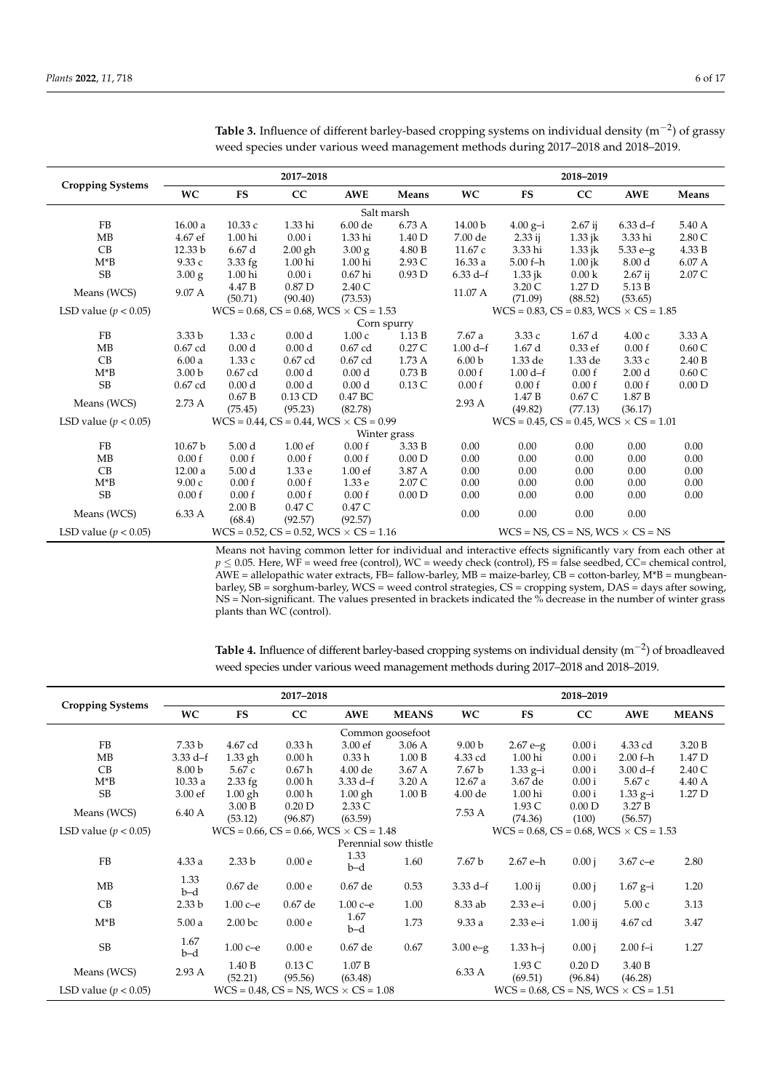| <b>Cropping Systems</b>  |                    |                   | 2017-2018                                           |                    |                    | 2018-2019         |                                                     |                   |                    |                   |
|--------------------------|--------------------|-------------------|-----------------------------------------------------|--------------------|--------------------|-------------------|-----------------------------------------------------|-------------------|--------------------|-------------------|
|                          | <b>WC</b>          | <b>FS</b>         | CC                                                  | <b>AWE</b>         | Means              | <b>WC</b>         | <b>FS</b>                                           | cc                | <b>AWE</b>         | Means             |
|                          |                    |                   |                                                     |                    | Salt marsh         |                   |                                                     |                   |                    |                   |
| FB                       | 16.00a             | 10.33c            | 1.33 hi                                             | 6.00 de            | 6.73 A             | 14.00 b           | $4.00 g-i$                                          | $2.67$ ij         | $6.33 \text{ d-f}$ | 5.40 A            |
| <b>MB</b>                | 4.67 ef            | 1.00 hi           | 0.00 i                                              | 1.33 hi            | 1.40 D             | 7.00 de           | $2.33$ ij                                           | $1.33$ jk         | 3.33 hi            | 2.80 C            |
| CB                       | 12.33 b            | 6.67d             | $2.00$ gh                                           | $3.00\text{ g}$    | 4.80 B             | 11.67 c           | 3.33 hi                                             | $1.33$ jk         | $5.33 e-g$         | 4.33 B            |
| $M^*B$                   | 9.33c              | 3.33 fg           | 1.00 hi                                             | 1.00 hi            | 2.93 C             | 16.33a            | $5.00 f-h$                                          | $1.00$ jk         | 8.00 <sub>d</sub>  | 6.07 A            |
| <b>SB</b>                | $3.00\text{ g}$    | 1.00 hi           | 0.00i                                               | $0.67$ hi          | 0.93D              | $6.33 d-f$        | $1.33$ jk                                           | 0.00 <sub>k</sub> | $2.67$ ij          | 2.07 C            |
| Means (WCS)              | 9.07 A             | 4.47 B            | 0.87 <sub>D</sub>                                   | 2.40C              |                    | 11.07 A           | 3.20 C                                              | 1.27 <sub>D</sub> | 5.13 B             |                   |
|                          |                    | (50.71)           | (90.40)                                             | (73.53)            |                    |                   | (71.09)                                             | (88.52)           | (53.65)            |                   |
| LSD value ( $p < 0.05$ ) |                    |                   | $WCS = 0.68$ , $CS = 0.68$ , $WCS \times CS = 1.53$ |                    |                    |                   | $WCS = 0.83$ , $CS = 0.83$ , $WCS \times CS = 1.85$ |                   |                    |                   |
|                          |                    | Corn spurry       |                                                     |                    |                    |                   |                                                     |                   |                    |                   |
| FB                       | 3.33 <sub>b</sub>  | 1.33c             | 0.00 <sub>d</sub>                                   | 1.00c              | 1.13B              | 7.67a             | 3.33c                                               | 1.67d             | 4.00c              | 3.33 A            |
| <b>MB</b>                | $0.67$ cd          | 0.00 <sub>d</sub> | 0.00 <sub>d</sub>                                   | $0.67$ cd          | $0.27\,\mathrm{C}$ | $1.00 d-f$        | 1.67d                                               | $0.33$ ef         | 0.00 f             | 0.60C             |
| CB                       | 6.00a              | 1.33c             | 0.67 cd                                             | 0.67 cd            | 1.73A              | 6.00 <sub>b</sub> | 1.33 de                                             | 1.33 de           | 3.33 с             | 2.40 B            |
| $M^*B$                   | 3.00 <sub>b</sub>  | 0.67 cd           | 0.00 <sub>d</sub>                                   | 0.00 <sub>d</sub>  | 0.73B              | 0.00 f            | $1.00 d-f$                                          | 0.00 f            | 2.00 <sub>d</sub>  | 0.60C             |
| <b>SB</b>                | $0.67$ cd          | 0.00 <sub>d</sub> | 0.00 <sub>d</sub>                                   | 0.00 <sub>d</sub>  | 0.13C              | 0.00 f            | 0.00 f                                              | 0.00 f            | 0.00 f             | 0.00 <sub>D</sub> |
|                          |                    | 0.67 B            | $0.13$ CD                                           | 0.47 BC            |                    | 2.93A             | 1.47B                                               | 0.67C             | 1.87 <sub>B</sub>  |                   |
| Means (WCS)              | 2.73A              | (75.45)           | (95.23)                                             | (82.78)            |                    |                   | (49.82)                                             | (77.13)           | (36.17)            |                   |
| LSD value ( $p < 0.05$ ) |                    |                   | $WCS = 0.44$ , $CS = 0.44$ , $WCS \times CS = 0.99$ |                    |                    |                   | $WCS = 0.45$ , $CS = 0.45$ , $WCS \times CS = 1.01$ |                   |                    |                   |
|                          |                    |                   |                                                     |                    | Winter grass       |                   |                                                     |                   |                    |                   |
| FB                       | 10.67 <sub>b</sub> | 5.00 <sub>d</sub> | 1.00 <sub>ef</sub>                                  | 0.00 f             | 3.33 B             | 0.00              | 0.00                                                | 0.00              | 0.00               | 0.00              |
| MB                       | 0.00 f             | 0.00 f            | 0.00 f                                              | 0.00 f             | 0.00 <sub>D</sub>  | 0.00              | 0.00                                                | 0.00              | 0.00               | 0.00              |
| CB                       | 12.00a             | 5.00 <sub>d</sub> | 1.33 e                                              | 1.00 <sub>ef</sub> | 3.87 A             | 0.00              | 0.00                                                | 0.00              | 0.00               | 0.00              |
| $M^*B$                   | 9.00c              | 0.00 f            | 0.00 f                                              | 1.33 e             | 2.07 C             | 0.00              | 0.00                                                | 0.00              | 0.00               | 0.00              |
| <b>SB</b>                | 0.00 f             | 0.00 f            | 0.00 f                                              | 0.00 f             | 0.00 D             | 0.00              | 0.00                                                | 0.00              | 0.00               | 0.00              |
|                          |                    | 2.00 B            | 0.47 C                                              | 0.47 C             |                    |                   |                                                     |                   |                    |                   |
| Means (WCS)              | 6.33 A             | (68.4)            | (92.57)                                             | (92.57)            |                    | 0.00              | 0.00                                                | 0.00              | 0.00               |                   |
| LSD value ( $p < 0.05$ ) |                    |                   | $WCS = 0.52$ , $CS = 0.52$ , $WCS \times CS = 1.16$ |                    |                    |                   | $WCS = NS$ , $CS = NS$ , $WCS \times CS = NS$       |                   |                    |                   |

<span id="page-5-0"></span>

| <b>Table 3.</b> Influence of different barley-based cropping systems on individual density $(m^{-2})$ of grassy |  |
|-----------------------------------------------------------------------------------------------------------------|--|
| weed species under various weed management methods during 2017–2018 and 2018–2019.                              |  |

Means not having common letter for individual and interactive effects significantly vary from each other at  $p \le 0.05$ . Here, WF = weed free (control), WC = weedy check (control), FS = false seedbed, CC= chemical control,<br>AWE = allelopathic water extracts, FB= fallow-barley, MB = maize-barley, CB = cotton-barley, M\*B = mungbean NS = Non-significant. The values presented in brackets indicated the % decrease in the number of winter grass plants than WC (control).

|                          |                   |                                                                                                            | 2017-2018         |                                                   |                       | 2018-2019         |                                                   |                              |                   |              |
|--------------------------|-------------------|------------------------------------------------------------------------------------------------------------|-------------------|---------------------------------------------------|-----------------------|-------------------|---------------------------------------------------|------------------------------|-------------------|--------------|
| <b>Cropping Systems</b>  | <b>WC</b>         | <b>FS</b>                                                                                                  | CC                | <b>AWE</b>                                        | <b>MEANS</b>          | <b>WC</b>         | FS                                                | cc                           | <b>AWE</b>        | <b>MEANS</b> |
|                          |                   |                                                                                                            |                   |                                                   | Common goosefoot      |                   |                                                   |                              |                   |              |
| FB                       | 7.33 b            | 4.67 cd                                                                                                    | 0.33h             | 3.00 ef                                           | 3.06A                 | 9.00 <sub>b</sub> | $2.67 e-g$                                        | 0.00i                        | 4.33 cd           | 3.20 B       |
| MB                       | $3.33 d-f$        | $1.33$ gh                                                                                                  | 0.00 <sub>h</sub> | 0.33h                                             | 1.00 B                | 4.33 cd           | 1.00 hi                                           | 0.00i                        | $2.00 f-h$        | 1.47 D       |
| CB                       | 8.00 <sub>b</sub> | 5.67c                                                                                                      | 0.67 <sub>h</sub> | 4.00 de                                           | 3.67A                 | 7.67 b            | $1.33\text{ g}-i$                                 | 0.00i                        | $3.00 d-f$        | 2.40C        |
| $M^*B$                   | 10.33a            | $2.33$ fg                                                                                                  | 0.00 <sub>h</sub> | $3.33 d-f$                                        | 3.20 A                | 12.67a            | 3.67 de                                           | 0.00i                        | 5.67c             | 4.40 A       |
| <b>SB</b>                | 3.00 ef           | $1.00$ gh                                                                                                  | 0.00 <sub>h</sub> | $1.00$ gh                                         | 1.00 B                | 4.00 de           | 1.00 hi                                           | 0.00i                        | $1.33\ g - i$     | 1.27 D       |
| Means (WCS)              | 6.40 A            | 3.00 B                                                                                                     | 0.20 <sub>D</sub> | 2.33C                                             |                       | 7.53 A            | 1.93 C                                            | 0.00 D                       | 3.27B             |              |
|                          |                   | (53.12)                                                                                                    | (96.87)           | (63.59)                                           |                       |                   | (74.36)                                           | (100)                        | (56.57)           |              |
| LSD value ( $p < 0.05$ ) |                   | $WCS = 0.66$ , $CS = 0.66$ , $WCS \times CS = 1.48$<br>$WCS = 0.68$ , $CS = 0.68$ , $WCS \times CS = 1.53$ |                   |                                                   |                       |                   |                                                   |                              |                   |              |
|                          |                   |                                                                                                            |                   |                                                   | Perennial sow thistle |                   |                                                   |                              |                   |              |
| FB                       | 4.33a             | 2.33 <sub>b</sub>                                                                                          | 0.00e             | 1.33<br>b-d                                       | 1.60                  | 7.67 b            | 2.67 e-h                                          | 0.00 i                       | $3.67c - e$       | 2.80         |
| МB                       | 1.33<br>b-d       | 0.67 de                                                                                                    | 0.00e             | 0.67 de                                           | 0.53                  | $3.33 d-f$        | $1.00$ ij                                         | 0.00 i                       | $1.67\ g - i$     | 1.20         |
| CB                       | 2.33 <sub>b</sub> | $1.00c - e$                                                                                                | 0.67 de           | $1.00c - e$                                       | 1.00                  | 8.33 ab           | 2.33 e-i                                          | 0.00 i                       | 5.00c             | 3.13         |
| $M^*B$                   | 5.00a             | 2.00 <sub>bc</sub>                                                                                         | 0.00e             | 1.67<br>b-d                                       | 1.73                  | 9.33a             | 2.33 e-i                                          | $1.00$ ij                    | 4.67 cd           | 3.47         |
| <b>SB</b>                | 1.67<br>b-d       | $1.00c - e$                                                                                                | 0.00e             | 0.67 de                                           | 0.67                  | $3.00 e-g$        | $1.33 h-i$                                        | 0.00 i                       | $2.00 f - i$      | 1.27         |
| Means (WCS)              | 2.93A             | 1.40 B<br>(52.21)                                                                                          | 0.13C<br>(95.56)  | 1.07B<br>(63.48)                                  |                       | 6.33 A            | 1.93 C<br>(69.51)                                 | 0.20 <sub>D</sub><br>(96.84) | 3.40 B<br>(46.28) |              |
| LSD value ( $p < 0.05$ ) |                   |                                                                                                            |                   | $WCS = 0.48$ , $CS = NS$ , $WCS \times CS = 1.08$ |                       |                   | $WCS = 0.68$ , $CS = NS$ , $WCS \times CS = 1.51$ |                              |                   |              |

<span id="page-5-1"></span>Table 4. Influence of different barley-based cropping systems on individual density  $(m^{-2})$  of broadleaved weed species under various weed management methods during 2017-2018 and 2018-2019.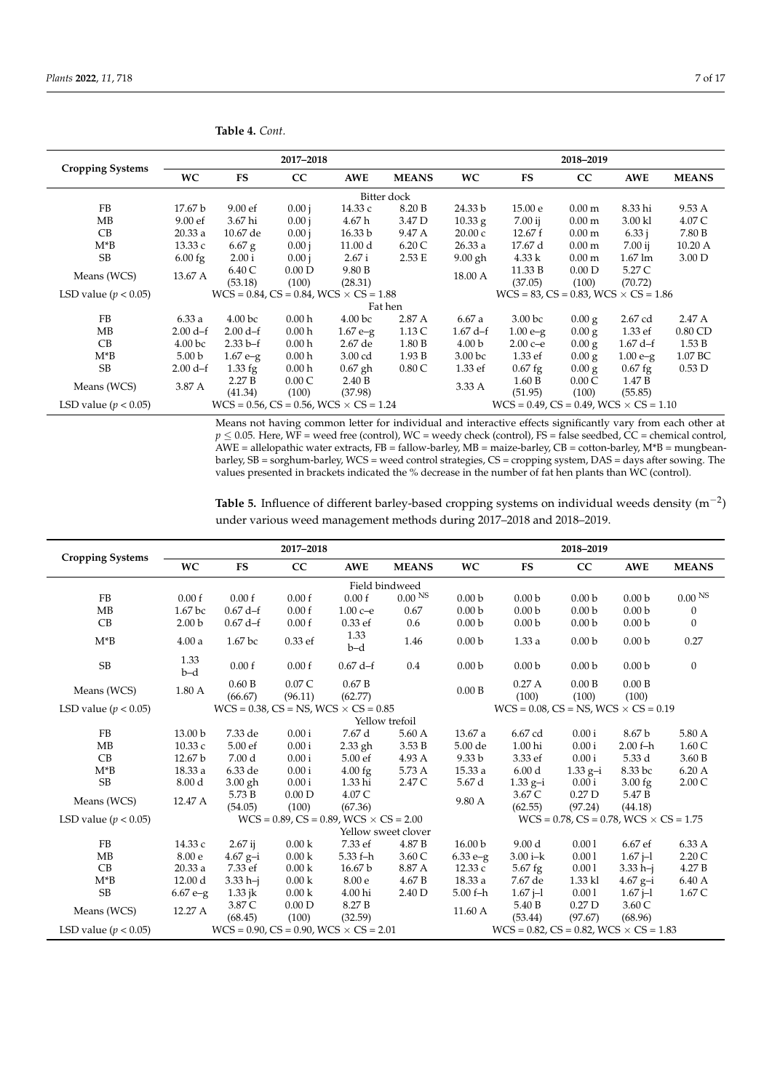| <b>Cropping Systems</b>  |                    |                                                                                                            | 2017-2018         |                                                     |              | 2018-2019          |                                                   |                   |                     |                   |
|--------------------------|--------------------|------------------------------------------------------------------------------------------------------------|-------------------|-----------------------------------------------------|--------------|--------------------|---------------------------------------------------|-------------------|---------------------|-------------------|
|                          | <b>WC</b>          | <b>FS</b>                                                                                                  | cc                | <b>AWE</b>                                          | <b>MEANS</b> | <b>WC</b>          | FS                                                | cc                | <b>AWE</b>          | <b>MEANS</b>      |
|                          |                    | Bitter dock                                                                                                |                   |                                                     |              |                    |                                                   |                   |                     |                   |
| FB.                      | 17.67 b            | 9.00 ef                                                                                                    | 0.00 i            | 14.33 с                                             | 8.20 B       | 24.33 b            | 15.00 <sub>e</sub>                                | 0.00 <sub>m</sub> | 8.33 hi             | 9.53 A            |
| МB                       | 9.00ef             | 3.67 hi                                                                                                    | 0.00 i            | 4.67 h                                              | 3.47 D       | 10.33 g            | $7.00$ ij                                         | 0.00 <sub>m</sub> | 3.00 kl             | 4.07 C            |
| CB                       | 20.33a             | 10.67 de                                                                                                   | 0.00 i            | 16.33 b                                             | 9.47 A       | 20.00c             | 12.67 f                                           | 0.00 <sub>m</sub> | 6.33 i              | 7.80 B            |
| $M^*B$                   | 13.33c             | $6.67$ g                                                                                                   | 0.00 i            | 11.00 d                                             | 6.20C        | 26.33a             | 17.67 d                                           | 0.00 <sub>m</sub> | 7.00 ij             | 10.20 A           |
| <b>SB</b>                | $6.00$ fg          | 2.00 i                                                                                                     | 0.00 i            | 2.67 i                                              | 2.53 E       | $9.00$ gh          | 4.33k                                             | 0.00 <sub>m</sub> | $1.67 \mathrm{~lm}$ | 3.00 <sub>D</sub> |
|                          |                    | 6.40 C                                                                                                     | 0.00 D            | 9.80 B                                              |              | 18.00 A            | 11.33 B                                           | 0.00 D            | 5.27 C              |                   |
| Means (WCS)              | 13.67 A            | (53.18)                                                                                                    | (100)             | (28.31)                                             |              |                    | (37.05)                                           | (100)             | (70.72)             |                   |
| LSD value ( $p < 0.05$ ) |                    |                                                                                                            |                   | $WCS = 0.84$ , $CS = 0.84$ , $WCS \times CS = 1.88$ |              |                    | $WCS = 83$ , $CS = 0.83$ , $WCS \times CS = 1.86$ |                   |                     |                   |
|                          |                    |                                                                                                            |                   |                                                     | Fat hen      |                    |                                                   |                   |                     |                   |
| FB.                      | 6.33a              | 4.00 <sub>bc</sub>                                                                                         | 0.00 <sub>h</sub> | 4.00 <sub>bc</sub>                                  | 2.87 A       | 6.67a              | 3.00 <sub>bc</sub>                                | 0.00 g            | 2.67 cd             | 2.47A             |
| MB                       | $2.00 d-f$         | $2.00 d-f$                                                                                                 | 0.00 <sub>h</sub> | $1.67 e-g$                                          | 1.13C        | $1.67 \text{ d-f}$ | $1.00 e-g$                                        | 0.00 g            | 1.33 ef             | $0.80$ CD         |
| CB                       | 4.00 <sub>bc</sub> | $2.33 b-f$                                                                                                 | 0.00 <sub>h</sub> | 2.67 de                                             | 1.80 B       | 4.00 <sub>b</sub>  | $2.00c - e$                                       | 0.00 g            | $1.67 \text{ d-f}$  | 1.53B             |
| $M^*B$                   | 5.00 <sub>b</sub>  | $1.67 e-g$                                                                                                 | 0.00 <sub>h</sub> | 3.00 cd                                             | 1.93B        | 3.00 <sub>bc</sub> | 1.33 ef                                           | 0.00 g            | $1.00 e-g$          | 1.07 BC           |
| <b>SB</b>                | $2.00 d-f$         | $1.33$ fg                                                                                                  | 0.00 <sub>h</sub> | $0.67$ gh                                           | 0.80C        | 1.33 ef            | $0.67$ fg                                         | $0.00 \text{ g}$  | $0.67$ fg           | $0.53$ D          |
| Means (WCS)              | 3.87 A             | 2.27B                                                                                                      | 0.00C             | 2.40 B                                              |              | 3.33A              | 1.60 B                                            | 0.00C             | 1.47B               |                   |
|                          |                    | (41.34)                                                                                                    | (100)             | (37.98)                                             |              |                    | (51.95)                                           | (100)             | (55.85)             |                   |
| LSD value ( $p < 0.05$ ) |                    | $WCS = 0.56$ , $CS = 0.56$ , $WCS \times CS = 1.24$<br>$WCS = 0.49$ , $CS = 0.49$ , $WCS \times CS = 1.10$ |                   |                                                     |              |                    |                                                   |                   |                     |                   |

Table 4. Cont.

Means not having common letter for individual and interactive effects significantly vary from each other at  $p \le 0.05$ . Here, WF = weed free (control), WC = weedy check (control), FS = false seedbed, CC = chemical control,  $P = 0.08$ . The MT = weed Hee (collect), We = weedy energy energy (collect), 15 = labe secured, extending collect),<br>AWE = allelopathic water extracts, FB = fallow-barley, MB = maize-barley, CB = cotton-barley, M\*B = mungbe values presented in brackets indicated the % decrease in the number of fat hen plants than WC (control).

<span id="page-6-0"></span>Table 5. Influence of different barley-based cropping systems on individual weeds density  $(m^{-2})$ under various weed management methods during 2017-2018 and 2018-2019.

|                          |                    |                    | 2017-2018                  |                                                     |                     | 2018-2019                                         |                                                     |                                                     |                   |                    |
|--------------------------|--------------------|--------------------|----------------------------|-----------------------------------------------------|---------------------|---------------------------------------------------|-----------------------------------------------------|-----------------------------------------------------|-------------------|--------------------|
| <b>Cropping Systems</b>  | WC                 | <b>FS</b>          | CC                         | <b>AWE</b>                                          | <b>MEANS</b>        | <b>WC</b>                                         | FS                                                  | CC                                                  | <b>AWE</b>        | <b>MEANS</b>       |
|                          |                    |                    |                            |                                                     | Field bindweed      |                                                   |                                                     |                                                     |                   |                    |
| <b>FB</b>                | 0.00 f             | 0.00 f             | 0.00 f                     | 0.00 f                                              | 0.00 <sup>NS</sup>  | 0.00 <sub>b</sub>                                 | 0.00 <sub>b</sub>                                   | 0.00 <sub>b</sub>                                   | 0.00 <sub>b</sub> | 0.00 <sup>NS</sup> |
| MB                       | 1.67 bc            | $0.67 d-f$         | 0.00 f                     | $1.00c - e$                                         | 0.67                | 0.00 <sub>b</sub>                                 | 0.00 <sub>b</sub>                                   | 0.00 <sub>b</sub>                                   | 0.00 <sub>b</sub> | $\boldsymbol{0}$   |
| CB                       | 2.00 <sub>b</sub>  | $0.67 \text{ d-f}$ | 0.00 f                     | 0.33 ef                                             | 0.6                 | 0.00 <sub>b</sub>                                 | 0.00 <sub>b</sub>                                   | 0.00 <sub>b</sub>                                   | 0.00 <sub>b</sub> | $\mathbf{0}$       |
| $M^*B$                   | 4.00a              | 1.67 bc            | 0.33 ef                    | 1.33<br>$b-d$                                       | 1.46                | 0.00 <sub>b</sub>                                 | 1.33a                                               | 0.00 <sub>b</sub>                                   | 0.00 <sub>b</sub> | 0.27               |
| SB                       | 1.33<br>$b-d$      | 0.00 f             | 0.00 f                     | $0.67 d-f$                                          | 0.4                 | 0.00 <sub>b</sub>                                 | 0.00 <sub>b</sub>                                   | 0.00 <sub>b</sub>                                   | 0.00 <sub>b</sub> | $\boldsymbol{0}$   |
| Means (WCS)              | 1.80 A             | 0.60 B<br>(66.67)  | 0.07C<br>(96.11)           | 0.67B<br>(62.77)                                    |                     | 0.00 B                                            | 0.27A<br>(100)                                      | 0.00 B<br>(100)                                     | 0.00 B<br>(100)   |                    |
| LSD value ( $p < 0.05$ ) |                    |                    |                            | $WCS = 0.38$ , $CS = NS$ , $WCS \times CS = 0.85$   |                     | $WCS = 0.08$ , $CS = NS$ , $WCS \times CS = 0.19$ |                                                     |                                                     |                   |                    |
|                          |                    | Yellow trefoil     |                            |                                                     |                     |                                                   |                                                     |                                                     |                   |                    |
| <b>FB</b>                | 13.00 b            | 7.33 de            | 0.00 i                     | 7.67 d                                              | 5.60 A              | 13.67a                                            | 6.67 cd                                             | 0.00 i                                              | 8.67 b            | 5.80 A             |
| <b>MB</b>                | 10.33c             | 5.00 ef            | 0.00 i                     | 2.33 gh                                             | 3.53 B              | 5.00 de                                           | 1.00 hi                                             | 0.00i                                               | $2.00 f-h$        | 1.60 C             |
| CB                       | 12.67 <sub>b</sub> | 7.00 <sub>d</sub>  | 0.00 i                     | 5.00 ef                                             | 4.93 A              | 9.33 <sub>b</sub>                                 | 3.33 ef                                             | 0.00i                                               | 5.33 d            | 3.60 B             |
| $M^*B$                   | 18.33 a            | 6.33 de            | 0.00i                      | $4.00$ fg                                           | 5.73 A              | 15.33 a                                           | 6.00 <sub>d</sub>                                   | $1.33 g-i$                                          | 8.33 bc           | 6.20A              |
| <b>SB</b>                | 8.00 <sub>d</sub>  | $3.00$ gh          | 0.00i                      | 1.33 hi                                             | 2.47 C              | 5.67 d                                            | $1.33\ g - i$                                       | 0.00i                                               | $3.00$ fg         | 2.00C              |
| Means (WCS)              | 12.47 A            | 5.73 B             | 0.00 <sub>D</sub>          | 4.07 C                                              |                     | 9.80 A                                            | 3.67 C                                              | 0.27 <sub>D</sub>                                   | 5.47 B            |                    |
|                          |                    | (54.05)            | (100)                      | (67.36)                                             |                     |                                                   | (62.55)                                             | (97.24)                                             | (44.18)           |                    |
| LSD value ( $p < 0.05$ ) |                    |                    |                            | $WCS = 0.89$ , $CS = 0.89$ , $WCS \times CS = 2.00$ |                     |                                                   |                                                     | $WCS = 0.78$ , $CS = 0.78$ , $WCS \times CS = 1.75$ |                   |                    |
|                          |                    |                    |                            |                                                     | Yellow sweet clover |                                                   |                                                     |                                                     |                   |                    |
| <b>FB</b>                | 14.33 с            | $2.67$ ij          | 0.00 <sub>k</sub>          | 7.33 ef                                             | 4.87 B              | 16.00 <sub>b</sub>                                | 9.00 <sub>d</sub>                                   | 0.001                                               | 6.67 ef           | 6.33 A             |
| MB                       | 8.00 e             | $4.67\ g-i$        | 0.00 <sub>k</sub>          | 5.33 f-h                                            | 3.60 C              | $6.33 e-g$                                        | $3.00 i - k$                                        | 0.001                                               | $1.67 -1$         | 2.20 C             |
| CB                       | 20.33a             | 7.33 ef            | 0.00 <sub>k</sub>          | 16.67 <sub>b</sub>                                  | 8.87 A              | 12.33 с                                           | 5.67 fg                                             | 0.001                                               | $3.33 h-i$        | 4.27 B             |
| $M^*B$                   | 12.00 d            | $3.33 h-i$         | 0.00 <sub>k</sub>          | 8.00 e                                              | 4.67 B              | 18.33 a                                           | 7.67 de                                             | 1.33 kl                                             | $4.67\ g - i$     | 6.40 A             |
| SB                       | $6.67 e-g$         | $1.33$ jk          | 0.00 <sub>k</sub>          | 4.00 hi                                             | 2.40 D              | $5.00 f-h$                                        | $1.67 -1$                                           | 0.001                                               | $1.67 -1$         | 1.67C              |
| Means (WCS)              | 12.27 A            | 3.87 C<br>(68.45)  | 0.00 <sub>D</sub><br>(100) | 8.27 <sub>B</sub><br>(32.59)                        |                     | 11.60 A                                           | 5.40 B<br>(53.44)                                   | 0.27 <sub>D</sub><br>(97.67)                        | 3.60C<br>(68.96)  |                    |
| LSD value ( $p < 0.05$ ) |                    |                    |                            | $WCS = 0.90$ , $CS = 0.90$ , $WCS \times CS = 2.01$ |                     |                                                   | $WCS = 0.82$ , $CS = 0.82$ , $WCS \times CS = 1.83$ |                                                     |                   |                    |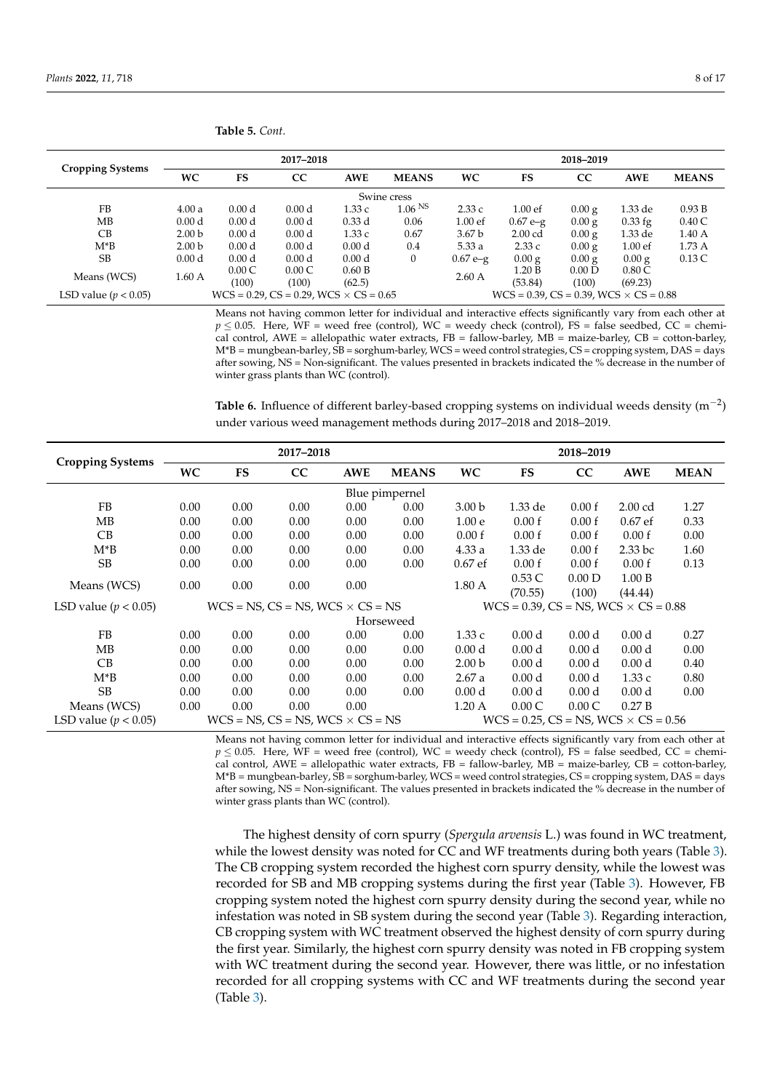|                          |                   |                   | 2017-2018                                           |                   |                    | 2018-2019          |                                                     |          |                    |              |
|--------------------------|-------------------|-------------------|-----------------------------------------------------|-------------------|--------------------|--------------------|-----------------------------------------------------|----------|--------------------|--------------|
| <b>Cropping Systems</b>  | <b>WC</b>         | <b>FS</b>         | CC                                                  | <b>AWE</b>        | <b>MEANS</b>       | <b>WC</b>          | FS                                                  | CC       | AWE                | <b>MEANS</b> |
| Swine cress              |                   |                   |                                                     |                   |                    |                    |                                                     |          |                    |              |
| FB                       | 4.00a             | 0.00 <sub>d</sub> | 0.00 <sub>d</sub>                                   | 1.33c             | 1.06 <sup>NS</sup> | 2.33c              | $1.00$ ef                                           | $0.00$ g | 1.33 de            | 0.93 B       |
| MB                       | 0.00 <sub>d</sub> | 0.00 <sub>d</sub> | 0.00 <sub>d</sub>                                   | $0.33$ d          | 0.06               | 1.00 <sub>ef</sub> | $0.67e-g$                                           | 0.00 g   | $0.33$ fg          | 0.40C        |
| CB                       | 2.00 <sub>b</sub> | 0.00 <sub>d</sub> | 0.00 <sub>d</sub>                                   | 1.33c             | 0.67               | 3.67 <sub>b</sub>  | $2.00$ cd                                           | 0.00 g   | 1.33 de            | 1.40A        |
| $M*B$                    | 2.00 <sub>b</sub> | 0.00 <sub>d</sub> | 0.00 <sub>d</sub>                                   | 0.00 <sub>d</sub> | 0.4                | 5.33a              | 2.33c                                               | 0.00 g   | 1.00 <sub>ef</sub> | 1.73A        |
| SВ                       | 0.00 <sub>d</sub> | 0.00 <sub>d</sub> | 0.00 <sub>d</sub>                                   | 0.00 <sub>d</sub> | $\boldsymbol{0}$   | $0.67e-g$          | $0.00$ g                                            | 0.00 g   | 0.00 g             | 0.13C        |
| Means (WCS)              | 1.60A             | 0.00C             | 0.00C                                               | 0.60 B            |                    | 2.60A              | 1.20 B                                              | 0.00 D   | 0.80C              |              |
|                          |                   | (100)             | (100)                                               | (62.5)            |                    |                    | (53.84)                                             | (100)    | (69.23)            |              |
| LSD value ( $p < 0.05$ ) |                   |                   | $WCS = 0.29$ , $CS = 0.29$ , $WCS \times CS = 0.65$ |                   |                    |                    | $WCS = 0.39$ , $CS = 0.39$ , $WCS \times CS = 0.88$ |          |                    |              |

Means not having common letter for individual and interactive effects significantly vary from each other at  $p \le 0.05$ . Here, WF = weed free (control), WC = weedy check (control), FS = false seedbed, CC = chemical control, AWE = allelopathic water extracts,  $FB =$  fallow-barley,  $MB =$  maize-barley,  $CB =$  cotton-barley, M\*B = mungbean-barley, SB = sorghum-barley, WCS = weed control strategies, CS = cropping system, DAS = days after sowing, NS = Non-significant. The values presented in brackets indicated the % decrease in the number of winter grass plants than WC (control).

<span id="page-7-0"></span>**Table 6.** Influence of different barley-based cropping systems on individual weeds density (m−<sup>2</sup> ) under various weed management methods during 2017–2018 and 2018–2019.

|                          |                |           | 2017-2018                                     |            |              | 2018-2019         |                                                   |                   |                    |             |
|--------------------------|----------------|-----------|-----------------------------------------------|------------|--------------|-------------------|---------------------------------------------------|-------------------|--------------------|-------------|
| <b>Cropping Systems</b>  | <b>WC</b>      | <b>FS</b> | CC                                            | <b>AWE</b> | <b>MEANS</b> | <b>WC</b>         | <b>FS</b>                                         | CC                | <b>AWE</b>         | <b>MEAN</b> |
|                          | Blue pimpernel |           |                                               |            |              |                   |                                                   |                   |                    |             |
| <b>FB</b>                | 0.00           | 0.00      | 0.00                                          | 0.00       | 0.00         | 3.00 <sub>b</sub> | 1.33 de                                           | 0.00 f            | $2.00$ cd          | 1.27        |
| MB                       | 0.00           | 0.00      | 0.00                                          | 0.00       | 0.00         | 1.00 <sub>e</sub> | 0.00 f                                            | 0.00 f            | $0.67$ ef          | 0.33        |
| CB                       | 0.00           | 0.00      | 0.00                                          | 0.00       | 0.00         | 0.00 f            | 0.00 f                                            | 0.00 f            | 0.00 f             | 0.00        |
| $M^*B$                   | 0.00           | 0.00      | 0.00                                          | 0.00       | 0.00         | 4.33a             | 1.33 de                                           | 0.00 f            | 2.33 <sub>bc</sub> | 1.60        |
| <b>SB</b>                | 0.00           | 0.00      | 0.00                                          | 0.00       | 0.00         | $0.67$ ef         | 0.00 f                                            | 0.00 f            | 0.00 f             | 0.13        |
| Means (WCS)              | 0.00           | 0.00      | 0.00                                          | 0.00       |              | 1.80 A            | 0.53C                                             | 0.00 D            | 1.00 B             |             |
|                          |                |           |                                               |            |              |                   | (70.55)                                           | (100)             | (44.44)            |             |
| LSD value ( $p < 0.05$ ) |                |           | $WCS = NS$ , $CS = NS$ , $WCS \times CS = NS$ |            |              |                   | $WCS = 0.39$ , $CS = NS$ , $WCS \times CS = 0.88$ |                   |                    |             |
|                          |                |           |                                               |            | Horseweed    |                   |                                                   |                   |                    |             |
| <b>FB</b>                | 0.00           | 0.00      | 0.00                                          | 0.00       | 0.00         | 1.33c             | 0.00 <sub>d</sub>                                 | 0.00 <sub>d</sub> | 0.00 <sub>d</sub>  | 0.27        |
| MB                       | 0.00           | 0.00      | 0.00                                          | 0.00       | 0.00         | 0.00 <sub>d</sub> | 0.00 <sub>d</sub>                                 | 0.00 <sub>d</sub> | 0.00 <sub>d</sub>  | 0.00        |
| CВ                       | 0.00           | 0.00      | 0.00                                          | 0.00       | 0.00         | 2.00 <sub>b</sub> | 0.00 <sub>d</sub>                                 | 0.00 <sub>d</sub> | 0.00 <sub>d</sub>  | 0.40        |
| $M^*B$                   | 0.00           | 0.00      | 0.00                                          | 0.00       | 0.00         | 2.67a             | 0.00 <sub>d</sub>                                 | 0.00 <sub>d</sub> | 1.33c              | 0.80        |
| <b>SB</b>                | 0.00           | 0.00      | 0.00                                          | 0.00       | 0.00         | 0.00 <sub>d</sub> | 0.00 <sub>d</sub>                                 | 0.00 <sub>d</sub> | 0.00 <sub>d</sub>  | 0.00        |
| Means (WCS)              | 0.00           | 0.00      | 0.00                                          | 0.00       |              | $1.20\text{ A}$   | 0.00C                                             | 0.00C             | 0.27B              |             |
| LSD value ( $p < 0.05$ ) |                |           | $WCS = NS$ , $CS = NS$ , $WCS \times CS = NS$ |            |              |                   | $WCS = 0.25$ , $CS = NS$ , $WCS \times CS = 0.56$ |                   |                    |             |

Means not having common letter for individual and interactive effects significantly vary from each other at  $p \le 0.05$ . Here, WF = weed free (control), WC = weedy check (control), FS = false seedbed, CC = chemical control, AWE = allelopathic water extracts,  $FB = \text{fallow-barley}$ ,  $MB = \text{maize-barley}$ ,  $CB = \text{cottom-barley}$ , M\*B = mungbean-barley, SB = sorghum-barley, WCS = weed control strategies, CS = cropping system, DAS = days after sowing, NS = Non-significant. The values presented in brackets indicated the % decrease in the number of winter grass plants than WC (control).

The highest density of corn spurry (*Spergula arvensis* L.) was found in WC treatment, while the lowest density was noted for CC and WF treatments during both years (Table [3\)](#page-5-0). The CB cropping system recorded the highest corn spurry density, while the lowest was recorded for SB and MB cropping systems during the first year (Table [3\)](#page-5-0). However, FB cropping system noted the highest corn spurry density during the second year, while no infestation was noted in SB system during the second year (Table [3\)](#page-5-0). Regarding interaction, CB cropping system with WC treatment observed the highest density of corn spurry during the first year. Similarly, the highest corn spurry density was noted in FB cropping system with WC treatment during the second year. However, there was little, or no infestation recorded for all cropping systems with CC and WF treatments during the second year (Table [3\)](#page-5-0).

**Table 5.** *Cont.*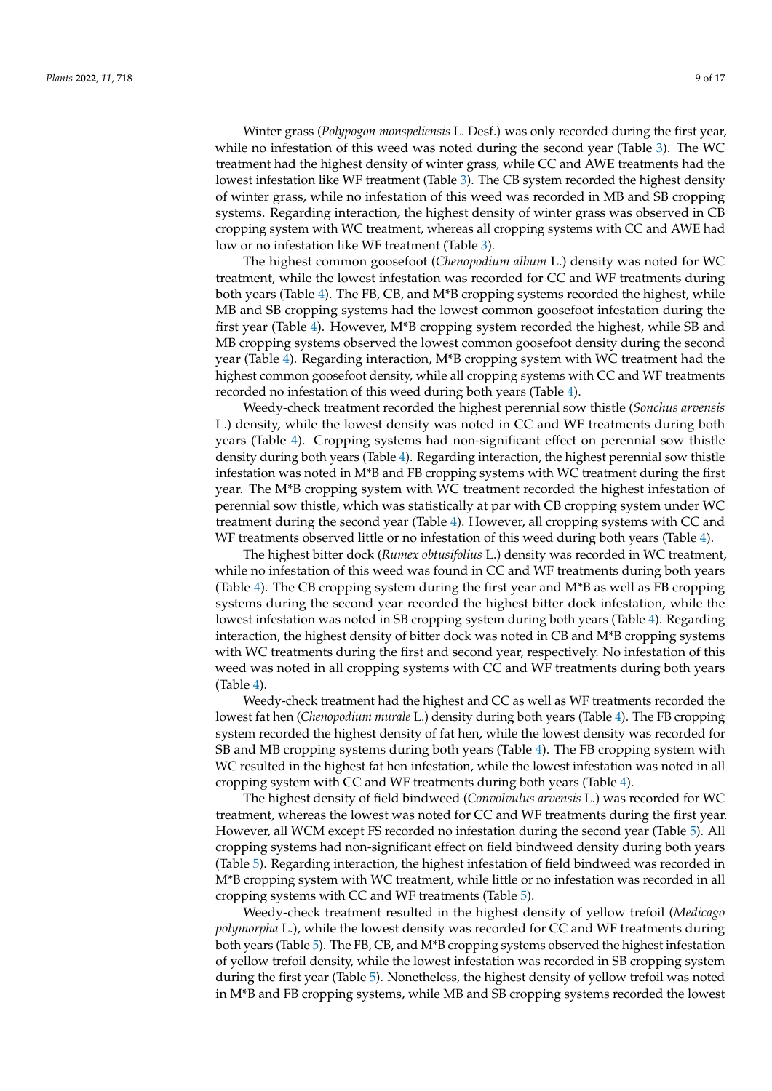Winter grass (*Polypogon monspeliensis* L. Desf.) was only recorded during the first year, while no infestation of this weed was noted during the second year (Table [3\)](#page-5-0). The WC treatment had the highest density of winter grass, while CC and AWE treatments had the lowest infestation like WF treatment (Table [3\)](#page-5-0). The CB system recorded the highest density of winter grass, while no infestation of this weed was recorded in MB and SB cropping systems. Regarding interaction, the highest density of winter grass was observed in CB cropping system with WC treatment, whereas all cropping systems with CC and AWE had low or no infestation like WF treatment (Table [3\)](#page-5-0).

The highest common goosefoot (*Chenopodium album* L.) density was noted for WC treatment, while the lowest infestation was recorded for CC and WF treatments during both years (Table [4\)](#page-5-1). The FB, CB, and M\*B cropping systems recorded the highest, while MB and SB cropping systems had the lowest common goosefoot infestation during the first year (Table [4\)](#page-5-1). However, M\*B cropping system recorded the highest, while SB and MB cropping systems observed the lowest common goosefoot density during the second year (Table [4\)](#page-5-1). Regarding interaction, M\*B cropping system with WC treatment had the highest common goosefoot density, while all cropping systems with CC and WF treatments recorded no infestation of this weed during both years (Table [4\)](#page-5-1).

Weedy-check treatment recorded the highest perennial sow thistle (*Sonchus arvensis* L.) density, while the lowest density was noted in CC and WF treatments during both years (Table [4\)](#page-5-1). Cropping systems had non-significant effect on perennial sow thistle density during both years (Table [4\)](#page-5-1). Regarding interaction, the highest perennial sow thistle infestation was noted in M\*B and FB cropping systems with WC treatment during the first year. The M\*B cropping system with WC treatment recorded the highest infestation of perennial sow thistle, which was statistically at par with CB cropping system under WC treatment during the second year (Table [4\)](#page-5-1). However, all cropping systems with CC and WF treatments observed little or no infestation of this weed during both years (Table [4\)](#page-5-1).

The highest bitter dock (*Rumex obtusifolius* L.) density was recorded in WC treatment, while no infestation of this weed was found in CC and WF treatments during both years (Table [4\)](#page-5-1). The CB cropping system during the first year and  $M^*B$  as well as FB cropping systems during the second year recorded the highest bitter dock infestation, while the lowest infestation was noted in SB cropping system during both years (Table [4\)](#page-5-1). Regarding interaction, the highest density of bitter dock was noted in CB and M\*B cropping systems with WC treatments during the first and second year, respectively. No infestation of this weed was noted in all cropping systems with CC and WF treatments during both years (Table [4\)](#page-5-1).

Weedy-check treatment had the highest and CC as well as WF treatments recorded the lowest fat hen (*Chenopodium murale* L.) density during both years (Table [4\)](#page-5-1). The FB cropping system recorded the highest density of fat hen, while the lowest density was recorded for SB and MB cropping systems during both years (Table [4\)](#page-5-1). The FB cropping system with WC resulted in the highest fat hen infestation, while the lowest infestation was noted in all cropping system with CC and WF treatments during both years (Table [4\)](#page-5-1).

The highest density of field bindweed (*Convolvulus arvensis* L.) was recorded for WC treatment, whereas the lowest was noted for CC and WF treatments during the first year. However, all WCM except FS recorded no infestation during the second year (Table [5\)](#page-6-0). All cropping systems had non-significant effect on field bindweed density during both years (Table [5\)](#page-6-0). Regarding interaction, the highest infestation of field bindweed was recorded in M\*B cropping system with WC treatment, while little or no infestation was recorded in all cropping systems with CC and WF treatments (Table [5\)](#page-6-0).

Weedy-check treatment resulted in the highest density of yellow trefoil (*Medicago polymorpha* L.), while the lowest density was recorded for CC and WF treatments during both years (Table [5\)](#page-6-0). The FB, CB, and M\*B cropping systems observed the highest infestation of yellow trefoil density, while the lowest infestation was recorded in SB cropping system during the first year (Table [5\)](#page-6-0). Nonetheless, the highest density of yellow trefoil was noted in M\*B and FB cropping systems, while MB and SB cropping systems recorded the lowest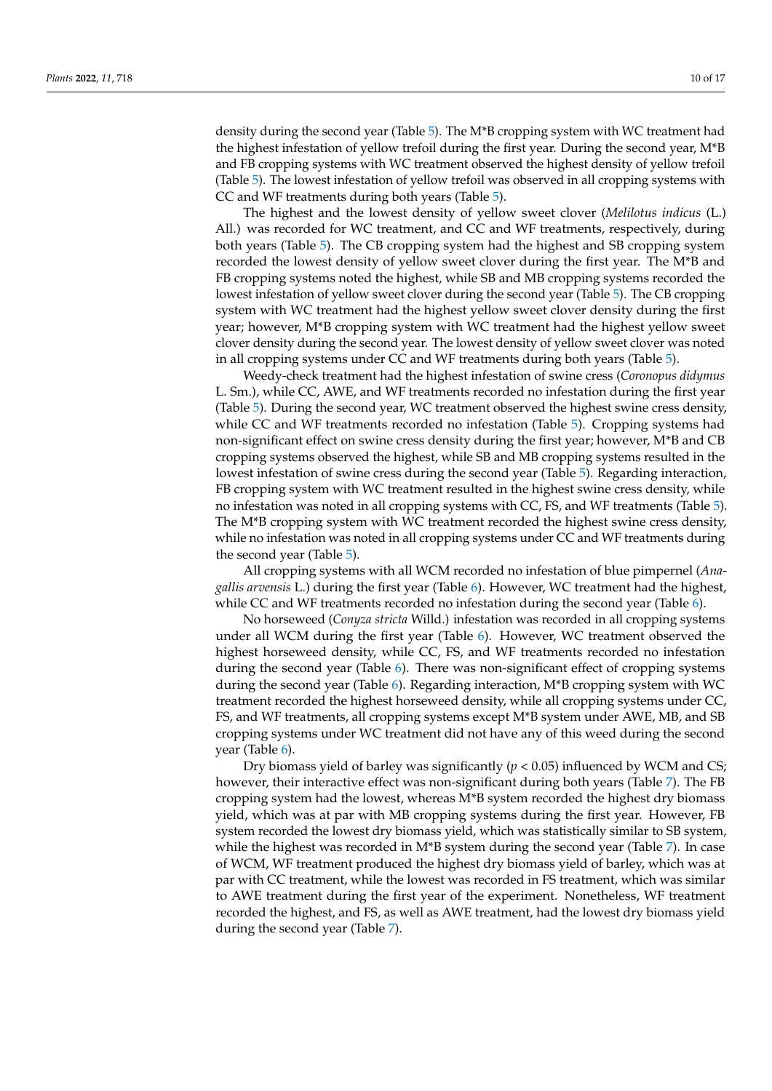density during the second year (Table [5\)](#page-6-0). The M\*B cropping system with WC treatment had the highest infestation of yellow trefoil during the first year. During the second year, M\*B and FB cropping systems with WC treatment observed the highest density of yellow trefoil (Table [5\)](#page-6-0). The lowest infestation of yellow trefoil was observed in all cropping systems with CC and WF treatments during both years (Table [5\)](#page-6-0).

The highest and the lowest density of yellow sweet clover (*Melilotus indicus* (L.) All.) was recorded for WC treatment, and CC and WF treatments, respectively, during both years (Table [5\)](#page-6-0). The CB cropping system had the highest and SB cropping system recorded the lowest density of yellow sweet clover during the first year. The M\*B and FB cropping systems noted the highest, while SB and MB cropping systems recorded the lowest infestation of yellow sweet clover during the second year (Table [5\)](#page-6-0). The CB cropping system with WC treatment had the highest yellow sweet clover density during the first year; however, M\*B cropping system with WC treatment had the highest yellow sweet clover density during the second year. The lowest density of yellow sweet clover was noted in all cropping systems under CC and WF treatments during both years (Table [5\)](#page-6-0).

Weedy-check treatment had the highest infestation of swine cress (*Coronopus didymus* L. Sm.), while CC, AWE, and WF treatments recorded no infestation during the first year (Table [5\)](#page-6-0). During the second year, WC treatment observed the highest swine cress density, while CC and WF treatments recorded no infestation (Table [5\)](#page-6-0). Cropping systems had non-significant effect on swine cress density during the first year; however, M\*B and CB cropping systems observed the highest, while SB and MB cropping systems resulted in the lowest infestation of swine cress during the second year (Table [5\)](#page-6-0). Regarding interaction, FB cropping system with WC treatment resulted in the highest swine cress density, while no infestation was noted in all cropping systems with CC, FS, and WF treatments (Table [5\)](#page-6-0). The M\*B cropping system with WC treatment recorded the highest swine cress density, while no infestation was noted in all cropping systems under CC and WF treatments during the second year (Table [5\)](#page-6-0).

All cropping systems with all WCM recorded no infestation of blue pimpernel (*Anagallis arvensis* L.) during the first year (Table [6\)](#page-7-0). However, WC treatment had the highest, while CC and WF treatments recorded no infestation during the second year (Table [6\)](#page-7-0).

No horseweed (*Conyza stricta* Willd.) infestation was recorded in all cropping systems under all WCM during the first year (Table [6\)](#page-7-0). However, WC treatment observed the highest horseweed density, while CC, FS, and WF treatments recorded no infestation during the second year (Table [6\)](#page-7-0). There was non-significant effect of cropping systems during the second year (Table [6\)](#page-7-0). Regarding interaction, M\*B cropping system with WC treatment recorded the highest horseweed density, while all cropping systems under CC, FS, and WF treatments, all cropping systems except M\*B system under AWE, MB, and SB cropping systems under WC treatment did not have any of this weed during the second year (Table [6\)](#page-7-0).

Dry biomass yield of barley was significantly  $(p < 0.05)$  influenced by WCM and CS; however, their interactive effect was non-significant during both years (Table [7\)](#page-10-0). The FB cropping system had the lowest, whereas M\*B system recorded the highest dry biomass yield, which was at par with MB cropping systems during the first year. However, FB system recorded the lowest dry biomass yield, which was statistically similar to SB system, while the highest was recorded in M\*B system during the second year (Table [7\)](#page-10-0). In case of WCM, WF treatment produced the highest dry biomass yield of barley, which was at par with CC treatment, while the lowest was recorded in FS treatment, which was similar to AWE treatment during the first year of the experiment. Nonetheless, WF treatment recorded the highest, and FS, as well as AWE treatment, had the lowest dry biomass yield during the second year (Table [7\)](#page-10-0).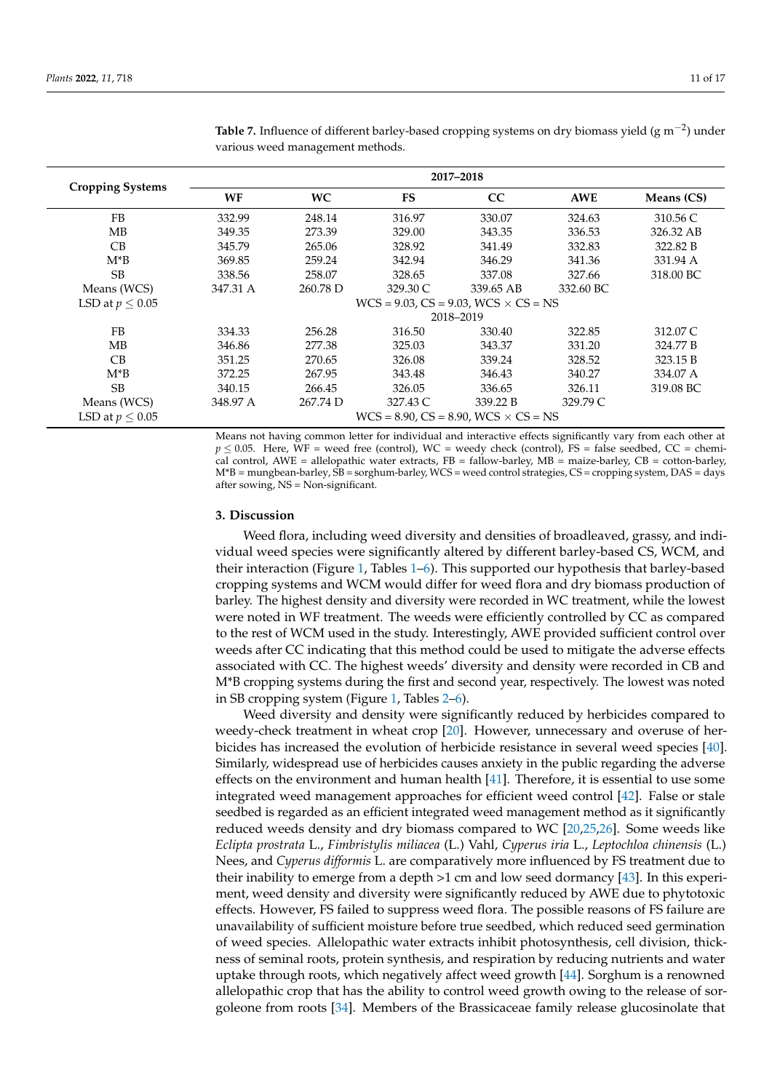|                         |          | 2017-2018 |                                                   |           |            |            |  |  |  |  |  |  |
|-------------------------|----------|-----------|---------------------------------------------------|-----------|------------|------------|--|--|--|--|--|--|
| <b>Cropping Systems</b> | WF       | WC        | FS                                                | CC        | <b>AWE</b> | Means (CS) |  |  |  |  |  |  |
| <b>FB</b>               | 332.99   | 248.14    | 316.97                                            | 330.07    | 324.63     | 310.56 C   |  |  |  |  |  |  |
| MB                      | 349.35   | 273.39    | 329.00                                            | 343.35    | 336.53     | 326.32 AB  |  |  |  |  |  |  |
| CB                      | 345.79   | 265.06    | 328.92                                            | 341.49    | 332.83     | 322.82 B   |  |  |  |  |  |  |
| $M^*B$                  | 369.85   | 259.24    | 342.94                                            | 346.29    | 341.36     | 331.94 A   |  |  |  |  |  |  |
| <b>SB</b>               | 338.56   | 258.07    | 328.65                                            | 337.08    | 327.66     | 318.00 BC  |  |  |  |  |  |  |
| Means (WCS)             | 347.31 A | 260.78 D  | 329.30 C                                          | 339.65 AB | 332.60 BC  |            |  |  |  |  |  |  |
| LSD at $p \leq 0.05$    |          |           | $WCS = 9.03$ , $CS = 9.03$ , $WCS \times CS = NS$ |           |            |            |  |  |  |  |  |  |
|                         |          |           |                                                   | 2018-2019 |            |            |  |  |  |  |  |  |
| <b>FB</b>               | 334.33   | 256.28    | 316.50                                            | 330.40    | 322.85     | 312.07 C   |  |  |  |  |  |  |
| MВ                      | 346.86   | 277.38    | 325.03                                            | 343.37    | 331.20     | 324.77 B   |  |  |  |  |  |  |
| CB                      | 351.25   | 270.65    | 326.08                                            | 339.24    | 328.52     | 323.15 B   |  |  |  |  |  |  |
| M*B                     | 372.25   | 267.95    | 343.48                                            | 346.43    | 340.27     | 334.07 A   |  |  |  |  |  |  |
| <b>SB</b>               | 340.15   | 266.45    | 326.05                                            | 336.65    | 326.11     | 319.08 BC  |  |  |  |  |  |  |
| Means (WCS)             | 348.97 A | 267.74 D  | 327.43 C                                          | 339.22 B  | 329.79 C   |            |  |  |  |  |  |  |
| LSD at $p \leq 0.05$    |          |           | $WCS = 8.90$ , $CS = 8.90$ , $WCS \times CS = NS$ |           |            |            |  |  |  |  |  |  |

<span id="page-10-0"></span>Table 7. Influence of different barley-based cropping systems on dry biomass yield (g m<sup>-2</sup>) under various weed management methods.

Means not having common letter for individual and interactive effects significantly vary from each other at  $p \le 0.05$ . Here, WF = weed free (control), WC = weedy check (control), FS = false seedbed, CC = chemical control, AWE = allelopathic water extracts, FB = fallow-barley, MB = maize-barley, CB = cotton-barley, M\*B = mungbean-barley, SB = sorghum-barley, WCS = weed control strategies, CS = cropping system, DAS = days after sowing, NS = Non-significant.

## **3. Discussion**

Weed flora, including weed diversity and densities of broadleaved, grassy, and individual weed species were significantly altered by different barley-based CS, WCM, and their interaction (Figure [1,](#page-3-0) Tables [1–](#page-2-0)[6\)](#page-7-0). This supported our hypothesis that barley-based cropping systems and WCM would differ for weed flora and dry biomass production of barley. The highest density and diversity were recorded in WC treatment, while the lowest were noted in WF treatment. The weeds were efficiently controlled by CC as compared to the rest of WCM used in the study. Interestingly, AWE provided sufficient control over weeds after CC indicating that this method could be used to mitigate the adverse effects associated with CC. The highest weeds' diversity and density were recorded in CB and M\*B cropping systems during the first and second year, respectively. The lowest was noted in SB cropping system (Figure [1,](#page-3-0) Tables [2](#page-4-0)[–6\)](#page-7-0).

Weed diversity and density were significantly reduced by herbicides compared to weedy-check treatment in wheat crop [\[20\]](#page-15-2). However, unnecessary and overuse of herbicides has increased the evolution of herbicide resistance in several weed species [\[40\]](#page-15-21). Similarly, widespread use of herbicides causes anxiety in the public regarding the adverse effects on the environment and human health [\[41\]](#page-15-22). Therefore, it is essential to use some integrated weed management approaches for efficient weed control [\[42\]](#page-15-23). False or stale seedbed is regarded as an efficient integrated weed management method as it significantly reduced weeds density and dry biomass compared to WC [\[20](#page-15-2)[,25](#page-15-7)[,26\]](#page-15-9). Some weeds like *Eclipta prostrata* L., *Fimbristylis miliacea* (L.) Vahl, *Cyperus iria* L., *Leptochloa chinensis* (L.) Nees, and *Cyperus difformis* L. are comparatively more influenced by FS treatment due to their inability to emerge from a depth >1 cm and low seed dormancy [\[43\]](#page-15-24). In this experiment, weed density and diversity were significantly reduced by AWE due to phytotoxic effects. However, FS failed to suppress weed flora. The possible reasons of FS failure are unavailability of sufficient moisture before true seedbed, which reduced seed germination of weed species. Allelopathic water extracts inhibit photosynthesis, cell division, thickness of seminal roots, protein synthesis, and respiration by reducing nutrients and water uptake through roots, which negatively affect weed growth [\[44\]](#page-15-25). Sorghum is a renowned allelopathic crop that has the ability to control weed growth owing to the release of sorgoleone from roots [\[34\]](#page-15-14). Members of the Brassicaceae family release glucosinolate that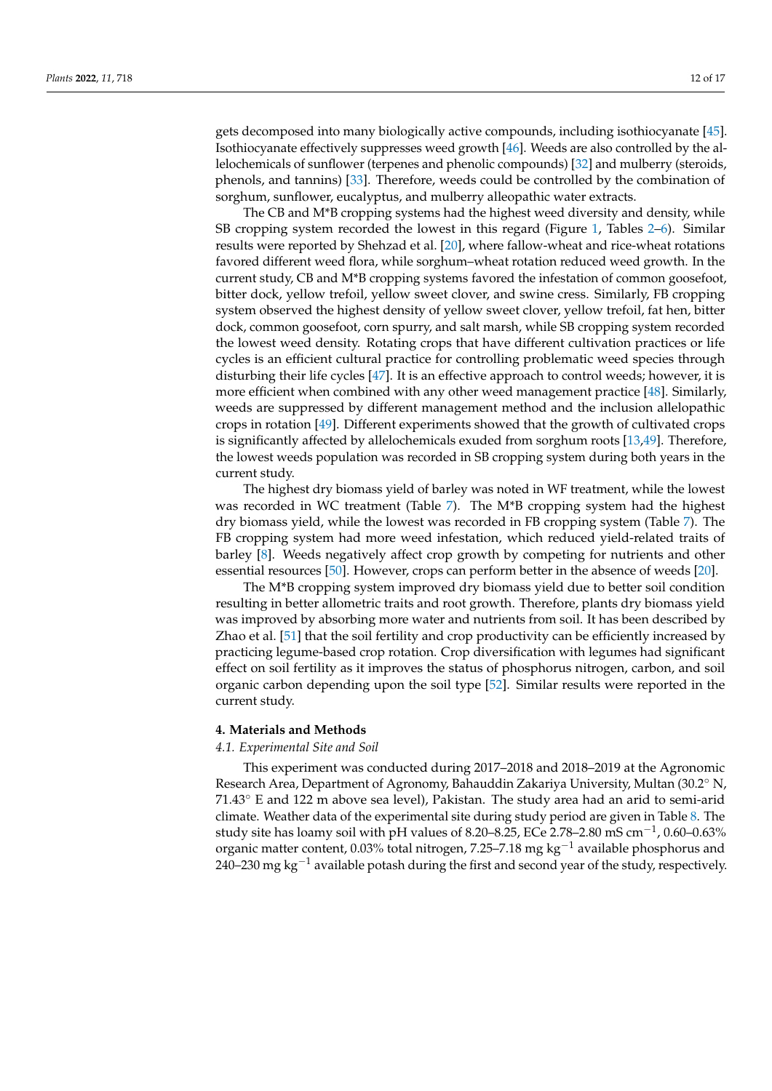gets decomposed into many biologically active compounds, including isothiocyanate [\[45\]](#page-15-26). Isothiocyanate effectively suppresses weed growth [\[46\]](#page-15-27). Weeds are also controlled by the allelochemicals of sunflower (terpenes and phenolic compounds) [\[32\]](#page-15-13) and mulberry (steroids, phenols, and tannins) [\[33\]](#page-15-28). Therefore, weeds could be controlled by the combination of sorghum, sunflower, eucalyptus, and mulberry alleopathic water extracts.

The CB and M\*B cropping systems had the highest weed diversity and density, while SB cropping system recorded the lowest in this regard (Figure [1,](#page-3-0) Tables [2–](#page-4-0)[6\)](#page-7-0). Similar results were reported by Shehzad et al. [\[20\]](#page-15-2), where fallow-wheat and rice-wheat rotations favored different weed flora, while sorghum–wheat rotation reduced weed growth. In the current study, CB and M\*B cropping systems favored the infestation of common goosefoot, bitter dock, yellow trefoil, yellow sweet clover, and swine cress. Similarly, FB cropping system observed the highest density of yellow sweet clover, yellow trefoil, fat hen, bitter dock, common goosefoot, corn spurry, and salt marsh, while SB cropping system recorded the lowest weed density. Rotating crops that have different cultivation practices or life cycles is an efficient cultural practice for controlling problematic weed species through disturbing their life cycles [\[47\]](#page-16-0). It is an effective approach to control weeds; however, it is more efficient when combined with any other weed management practice [\[48\]](#page-16-1). Similarly, weeds are suppressed by different management method and the inclusion allelopathic crops in rotation [\[49\]](#page-16-2). Different experiments showed that the growth of cultivated crops is significantly affected by allelochemicals exuded from sorghum roots [\[13](#page-14-10)[,49\]](#page-16-2). Therefore, the lowest weeds population was recorded in SB cropping system during both years in the current study.

The highest dry biomass yield of barley was noted in WF treatment, while the lowest was recorded in WC treatment (Table [7\)](#page-10-0). The M\*B cropping system had the highest dry biomass yield, while the lowest was recorded in FB cropping system (Table [7\)](#page-10-0). The FB cropping system had more weed infestation, which reduced yield-related traits of barley [\[8\]](#page-14-14). Weeds negatively affect crop growth by competing for nutrients and other essential resources [\[50\]](#page-16-3). However, crops can perform better in the absence of weeds [\[20\]](#page-15-2).

The M\*B cropping system improved dry biomass yield due to better soil condition resulting in better allometric traits and root growth. Therefore, plants dry biomass yield was improved by absorbing more water and nutrients from soil. It has been described by Zhao et al. [\[51\]](#page-16-4) that the soil fertility and crop productivity can be efficiently increased by practicing legume-based crop rotation. Crop diversification with legumes had significant effect on soil fertility as it improves the status of phosphorus nitrogen, carbon, and soil organic carbon depending upon the soil type [\[52\]](#page-16-5). Similar results were reported in the current study.

## **4. Materials and Methods**

#### *4.1. Experimental Site and Soil*

This experiment was conducted during 2017–2018 and 2018–2019 at the Agronomic Research Area, Department of Agronomy, Bahauddin Zakariya University, Multan (30.2◦ N, 71.43◦ E and 122 m above sea level), Pakistan. The study area had an arid to semi-arid climate. Weather data of the experimental site during study period are given in Table [8.](#page-12-0) The study site has loamy soil with pH values of 8.20–8.25, ECe 2.78–2.80 mS cm $^{-1}$ , 0.60–0.63% organic matter content, 0.03% total nitrogen, 7.25–7.18 mg kg−<sup>1</sup> available phosphorus and 240–230 mg kg<sup>-1</sup> available potash during the first and second year of the study, respectively.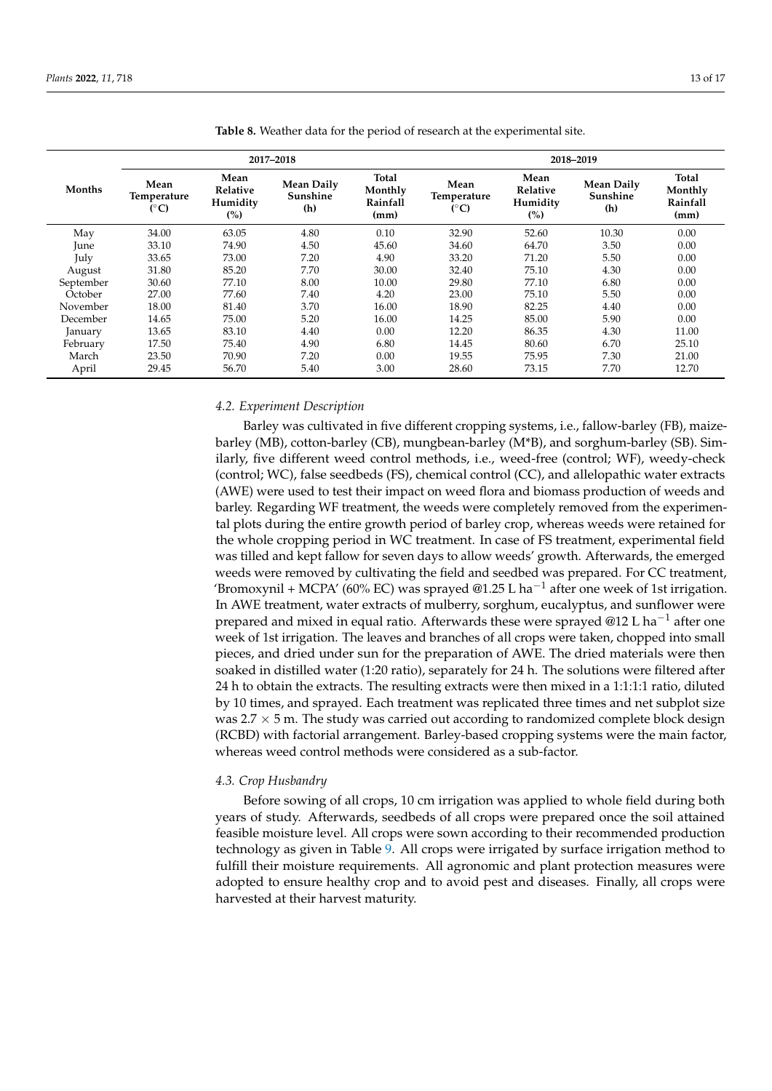|           |                                      |                                     | 2017-2018                            |                                      |                                     | 2018-2019                           |                                      |                                      |
|-----------|--------------------------------------|-------------------------------------|--------------------------------------|--------------------------------------|-------------------------------------|-------------------------------------|--------------------------------------|--------------------------------------|
| Months    | Mean<br>Temperature<br>$(^{\circ}C)$ | Mean<br>Relative<br>Humidity<br>(%) | <b>Mean Daily</b><br>Sunshine<br>(h) | Total<br>Monthly<br>Rainfall<br>(mm) | Mean<br>Temperature<br>$(^\circ C)$ | Mean<br>Relative<br>Humidity<br>(%) | <b>Mean Daily</b><br>Sunshine<br>(h) | Total<br>Monthly<br>Rainfall<br>(mm) |
| May       | 34.00                                | 63.05                               | 4.80                                 | 0.10                                 | 32.90                               | 52.60                               | 10.30                                | 0.00                                 |
| June      | 33.10                                | 74.90                               | 4.50                                 | 45.60                                | 34.60                               | 64.70                               | 3.50                                 | 0.00                                 |
| July      | 33.65                                | 73.00                               | 7.20                                 | 4.90                                 | 33.20                               | 71.20                               | 5.50                                 | 0.00                                 |
| August    | 31.80                                | 85.20                               | 7.70                                 | 30.00                                | 32.40                               | 75.10                               | 4.30                                 | 0.00                                 |
| September | 30.60                                | 77.10                               | 8.00                                 | 10.00                                | 29.80                               | 77.10                               | 6.80                                 | 0.00                                 |
| October   | 27.00                                | 77.60                               | 7.40                                 | 4.20                                 | 23.00                               | 75.10                               | 5.50                                 | 0.00                                 |
| November  | 18.00                                | 81.40                               | 3.70                                 | 16.00                                | 18.90                               | 82.25                               | 4.40                                 | 0.00                                 |
| December  | 14.65                                | 75.00                               | 5.20                                 | 16.00                                | 14.25                               | 85.00                               | 5.90                                 | 0.00                                 |
| January   | 13.65                                | 83.10                               | 4.40                                 | 0.00                                 | 12.20                               | 86.35                               | 4.30                                 | 11.00                                |
| February  | 17.50                                | 75.40                               | 4.90                                 | 6.80                                 | 14.45                               | 80.60                               | 6.70                                 | 25.10                                |
| March     | 23.50                                | 70.90                               | 7.20                                 | 0.00                                 | 19.55                               | 75.95                               | 7.30                                 | 21.00                                |
| April     | 29.45                                | 56.70                               | 5.40                                 | 3.00                                 | 28.60                               | 73.15                               | 7.70                                 | 12.70                                |

<span id="page-12-0"></span>**Table 8.** Weather data for the period of research at the experimental site.

## *4.2. Experiment Description*

Barley was cultivated in five different cropping systems, i.e., fallow-barley (FB), maizebarley (MB), cotton-barley (CB), mungbean-barley (M\*B), and sorghum-barley (SB). Similarly, five different weed control methods, i.e., weed-free (control; WF), weedy-check (control; WC), false seedbeds (FS), chemical control (CC), and allelopathic water extracts (AWE) were used to test their impact on weed flora and biomass production of weeds and barley. Regarding WF treatment, the weeds were completely removed from the experimental plots during the entire growth period of barley crop, whereas weeds were retained for the whole cropping period in WC treatment. In case of FS treatment, experimental field was tilled and kept fallow for seven days to allow weeds' growth. Afterwards, the emerged weeds were removed by cultivating the field and seedbed was prepared. For CC treatment, 'Bromoxynil + MCPA' (60% EC) was sprayed @1.25 L ha<sup>-1</sup> after one week of 1st irrigation. In AWE treatment, water extracts of mulberry, sorghum, eucalyptus, and sunflower were prepared and mixed in equal ratio. Afterwards these were sprayed @12 L ha<sup>-1</sup> after one week of 1st irrigation. The leaves and branches of all crops were taken, chopped into small pieces, and dried under sun for the preparation of AWE. The dried materials were then soaked in distilled water (1:20 ratio), separately for 24 h. The solutions were filtered after 24 h to obtain the extracts. The resulting extracts were then mixed in a 1:1:1:1 ratio, diluted by 10 times, and sprayed. Each treatment was replicated three times and net subplot size was 2.7  $\times$  5 m. The study was carried out according to randomized complete block design (RCBD) with factorial arrangement. Barley-based cropping systems were the main factor, whereas weed control methods were considered as a sub-factor.

#### *4.3. Crop Husbandry*

Before sowing of all crops, 10 cm irrigation was applied to whole field during both years of study. Afterwards, seedbeds of all crops were prepared once the soil attained feasible moisture level. All crops were sown according to their recommended production technology as given in Table [9.](#page-13-0) All crops were irrigated by surface irrigation method to fulfill their moisture requirements. All agronomic and plant protection measures were adopted to ensure healthy crop and to avoid pest and diseases. Finally, all crops were harvested at their harvest maturity.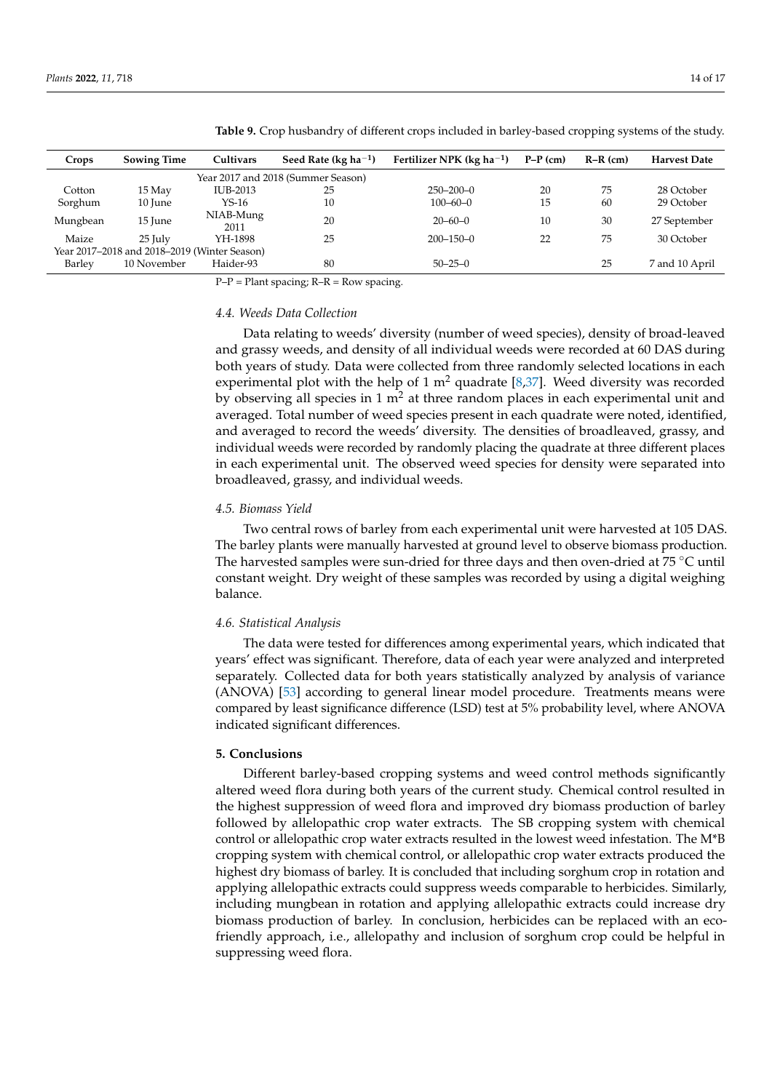| Crops    | <b>Sowing Time</b>                           | Cultivars         | Seed Rate (kg $ha^{-1}$ )          | Fertilizer NPK ( $kg$ ha <sup>-1</sup> ) | $P-P$ (cm) | $R-R$ (cm) | <b>Harvest Date</b> |
|----------|----------------------------------------------|-------------------|------------------------------------|------------------------------------------|------------|------------|---------------------|
|          |                                              |                   | Year 2017 and 2018 (Summer Season) |                                          |            |            |                     |
| Cotton   | 15 May                                       | IUB-2013          | 25                                 | $250 - 200 - 0$                          | 20         | 75         | 28 October          |
| Sorghum  | 10 June                                      | $YS-16$           | 10                                 | $100 - 60 - 0$                           | 15         | 60         | 29 October          |
| Mungbean | 15 June                                      | NIAB-Mung<br>2011 | 20                                 | $20 - 60 - 0$                            | 10         | 30         | 27 September        |
| Maize    | $25$ July                                    | YH-1898           | 25                                 | $200 - 150 - 0$                          | 22         | 75         | 30 October          |
|          | Year 2017–2018 and 2018–2019 (Winter Season) |                   |                                    |                                          |            |            |                     |
| Barley   | 10 November                                  | Haider-93         | 80                                 | $50 - 25 - 0$                            |            | 25         | 7 and 10 April      |

<span id="page-13-0"></span>**Table 9.** Crop husbandry of different crops included in barley-based cropping systems of the study.

 $P-P =$  Plant spacing;  $R-R =$  Row spacing.

#### *4.4. Weeds Data Collection*

Data relating to weeds' diversity (number of weed species), density of broad-leaved and grassy weeds, and density of all individual weeds were recorded at 60 DAS during both years of study. Data were collected from three randomly selected locations in each experimental plot with the help of  $1 \text{ m}^2$  quadrate [\[8,](#page-14-14)[37\]](#page-15-17). Weed diversity was recorded by observing all species in 1  $m<sup>2</sup>$  at three random places in each experimental unit and averaged. Total number of weed species present in each quadrate were noted, identified, and averaged to record the weeds' diversity. The densities of broadleaved, grassy, and individual weeds were recorded by randomly placing the quadrate at three different places in each experimental unit. The observed weed species for density were separated into broadleaved, grassy, and individual weeds.

#### *4.5. Biomass Yield*

Two central rows of barley from each experimental unit were harvested at 105 DAS. The barley plants were manually harvested at ground level to observe biomass production. The harvested samples were sun-dried for three days and then oven-dried at 75  $\degree$ C until constant weight. Dry weight of these samples was recorded by using a digital weighing balance.

## *4.6. Statistical Analysis*

The data were tested for differences among experimental years, which indicated that years' effect was significant. Therefore, data of each year were analyzed and interpreted separately. Collected data for both years statistically analyzed by analysis of variance (ANOVA) [\[53\]](#page-16-6) according to general linear model procedure. Treatments means were compared by least significance difference (LSD) test at 5% probability level, where ANOVA indicated significant differences.

#### **5. Conclusions**

Different barley-based cropping systems and weed control methods significantly altered weed flora during both years of the current study. Chemical control resulted in the highest suppression of weed flora and improved dry biomass production of barley followed by allelopathic crop water extracts. The SB cropping system with chemical control or allelopathic crop water extracts resulted in the lowest weed infestation. The M\*B cropping system with chemical control, or allelopathic crop water extracts produced the highest dry biomass of barley. It is concluded that including sorghum crop in rotation and applying allelopathic extracts could suppress weeds comparable to herbicides. Similarly, including mungbean in rotation and applying allelopathic extracts could increase dry biomass production of barley. In conclusion, herbicides can be replaced with an ecofriendly approach, i.e., allelopathy and inclusion of sorghum crop could be helpful in suppressing weed flora.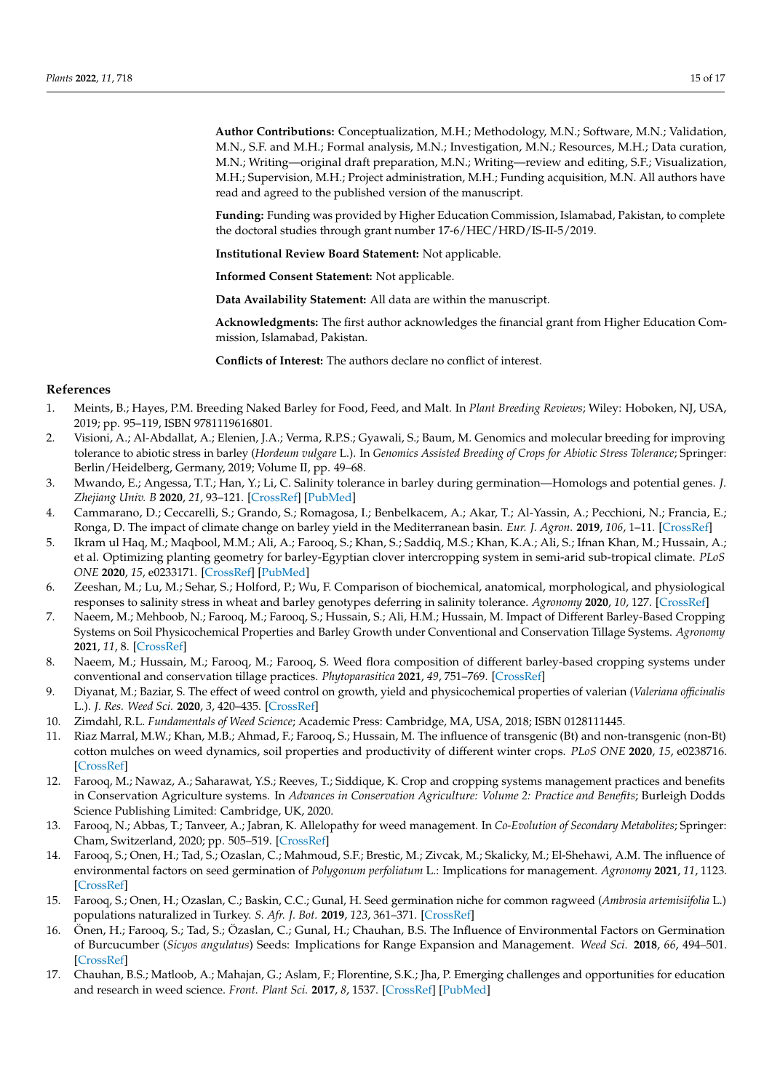**Author Contributions:** Conceptualization, M.H.; Methodology, M.N.; Software, M.N.; Validation, M.N., S.F. and M.H.; Formal analysis, M.N.; Investigation, M.N.; Resources, M.H.; Data curation, M.N.; Writing—original draft preparation, M.N.; Writing—review and editing, S.F.; Visualization, M.H.; Supervision, M.H.; Project administration, M.H.; Funding acquisition, M.N. All authors have read and agreed to the published version of the manuscript.

**Funding:** Funding was provided by Higher Education Commission, Islamabad, Pakistan, to complete the doctoral studies through grant number 17-6/HEC/HRD/IS-II-5/2019.

**Institutional Review Board Statement:** Not applicable.

**Informed Consent Statement:** Not applicable.

**Data Availability Statement:** All data are within the manuscript.

**Acknowledgments:** The first author acknowledges the financial grant from Higher Education Commission, Islamabad, Pakistan.

**Conflicts of Interest:** The authors declare no conflict of interest.

#### **References**

- <span id="page-14-0"></span>1. Meints, B.; Hayes, P.M. Breeding Naked Barley for Food, Feed, and Malt. In *Plant Breeding Reviews*; Wiley: Hoboken, NJ, USA, 2019; pp. 95–119, ISBN 9781119616801.
- <span id="page-14-1"></span>2. Visioni, A.; Al-Abdallat, A.; Elenien, J.A.; Verma, R.P.S.; Gyawali, S.; Baum, M. Genomics and molecular breeding for improving tolerance to abiotic stress in barley (*Hordeum vulgare* L.). In *Genomics Assisted Breeding of Crops for Abiotic Stress Tolerance*; Springer: Berlin/Heidelberg, Germany, 2019; Volume II, pp. 49–68.
- <span id="page-14-2"></span>3. Mwando, E.; Angessa, T.T.; Han, Y.; Li, C. Salinity tolerance in barley during germination—Homologs and potential genes. *J. Zhejiang Univ. B* **2020**, *21*, 93–121. [\[CrossRef\]](http://doi.org/10.1631/jzus.B1900400) [\[PubMed\]](http://www.ncbi.nlm.nih.gov/pubmed/32115909)
- <span id="page-14-3"></span>4. Cammarano, D.; Ceccarelli, S.; Grando, S.; Romagosa, I.; Benbelkacem, A.; Akar, T.; Al-Yassin, A.; Pecchioni, N.; Francia, E.; Ronga, D. The impact of climate change on barley yield in the Mediterranean basin. *Eur. J. Agron.* **2019**, *106*, 1–11. [\[CrossRef\]](http://doi.org/10.1016/j.eja.2019.03.002)
- <span id="page-14-4"></span>5. Ikram ul Haq, M.; Maqbool, M.M.; Ali, A.; Farooq, S.; Khan, S.; Saddiq, M.S.; Khan, K.A.; Ali, S.; Ifnan Khan, M.; Hussain, A.; et al. Optimizing planting geometry for barley-Egyptian clover intercropping system in semi-arid sub-tropical climate. *PLoS ONE* **2020**, *15*, e0233171. [\[CrossRef\]](http://doi.org/10.1371/journal.pone.0233171) [\[PubMed\]](http://www.ncbi.nlm.nih.gov/pubmed/32407405)
- <span id="page-14-5"></span>6. Zeeshan, M.; Lu, M.; Sehar, S.; Holford, P.; Wu, F. Comparison of biochemical, anatomical, morphological, and physiological responses to salinity stress in wheat and barley genotypes deferring in salinity tolerance. *Agronomy* **2020**, *10*, 127. [\[CrossRef\]](http://doi.org/10.3390/agronomy10010127)
- <span id="page-14-6"></span>7. Naeem, M.; Mehboob, N.; Farooq, M.; Farooq, S.; Hussain, S.; Ali, H.M.; Hussain, M. Impact of Different Barley-Based Cropping Systems on Soil Physicochemical Properties and Barley Growth under Conventional and Conservation Tillage Systems. *Agronomy* **2021**, *11*, 8. [\[CrossRef\]](http://doi.org/10.3390/agronomy11010008)
- <span id="page-14-14"></span>8. Naeem, M.; Hussain, M.; Farooq, M.; Farooq, S. Weed flora composition of different barley-based cropping systems under conventional and conservation tillage practices. *Phytoparasitica* **2021**, *49*, 751–769. [\[CrossRef\]](http://doi.org/10.1007/s12600-021-00900-4)
- <span id="page-14-7"></span>9. Diyanat, M.; Baziar, S. The effect of weed control on growth, yield and physicochemical properties of valerian (*Valeriana officinalis* L.). *J. Res. Weed Sci.* **2020**, *3*, 420–435. [\[CrossRef\]](http://doi.org/10.26655/JRWEEDSCI.2020.4.2)
- <span id="page-14-8"></span>10. Zimdahl, R.L. *Fundamentals of Weed Science*; Academic Press: Cambridge, MA, USA, 2018; ISBN 0128111445.
- <span id="page-14-9"></span>11. Riaz Marral, M.W.; Khan, M.B.; Ahmad, F.; Farooq, S.; Hussain, M. The influence of transgenic (Bt) and non-transgenic (non-Bt) cotton mulches on weed dynamics, soil properties and productivity of different winter crops. *PLoS ONE* **2020**, *15*, e0238716. [\[CrossRef\]](http://doi.org/10.1371/journal.pone.0238716)
- 12. Farooq, M.; Nawaz, A.; Saharawat, Y.S.; Reeves, T.; Siddique, K. Crop and cropping systems management practices and benefits in Conservation Agriculture systems. In *Advances in Conservation Agriculture: Volume 2: Practice and Benefits; Burleigh Dodds* Science Publishing Limited: Cambridge, UK, 2020.
- <span id="page-14-10"></span>13. Farooq, N.; Abbas, T.; Tanveer, A.; Jabran, K. Allelopathy for weed management. In *Co-Evolution of Secondary Metabolites*; Springer: Cham, Switzerland, 2020; pp. 505–519. [\[CrossRef\]](http://doi.org/10.1007/978-3-319-96397-6_16)
- <span id="page-14-11"></span>14. Farooq, S.; Onen, H.; Tad, S.; Ozaslan, C.; Mahmoud, S.F.; Brestic, M.; Zivcak, M.; Skalicky, M.; El-Shehawi, A.M. The influence of environmental factors on seed germination of *Polygonum perfoliatum* L.: Implications for management. *Agronomy* **2021**, *11*, 1123. [\[CrossRef\]](http://doi.org/10.3390/agronomy11061123)
- 15. Farooq, S.; Onen, H.; Ozaslan, C.; Baskin, C.C.; Gunal, H. Seed germination niche for common ragweed (*Ambrosia artemisiifolia* L.) populations naturalized in Turkey. *S. Afr. J. Bot.* **2019**, *123*, 361–371. [\[CrossRef\]](http://doi.org/10.1016/j.sajb.2019.03.031)
- <span id="page-14-12"></span>16. Önen, H.; Farooq, S.; Tad, S.; Özaslan, C.; Gunal, H.; Chauhan, B.S. The Influence of Environmental Factors on Germination of Burcucumber (*Sicyos angulatus*) Seeds: Implications for Range Expansion and Management. *Weed Sci.* **2018**, *66*, 494–501. [\[CrossRef\]](http://doi.org/10.1017/wsc.2018.20)
- <span id="page-14-13"></span>17. Chauhan, B.S.; Matloob, A.; Mahajan, G.; Aslam, F.; Florentine, S.K.; Jha, P. Emerging challenges and opportunities for education and research in weed science. *Front. Plant Sci.* **2017**, *8*, 1537. [\[CrossRef\]](http://doi.org/10.3389/fpls.2017.01537) [\[PubMed\]](http://www.ncbi.nlm.nih.gov/pubmed/28928765)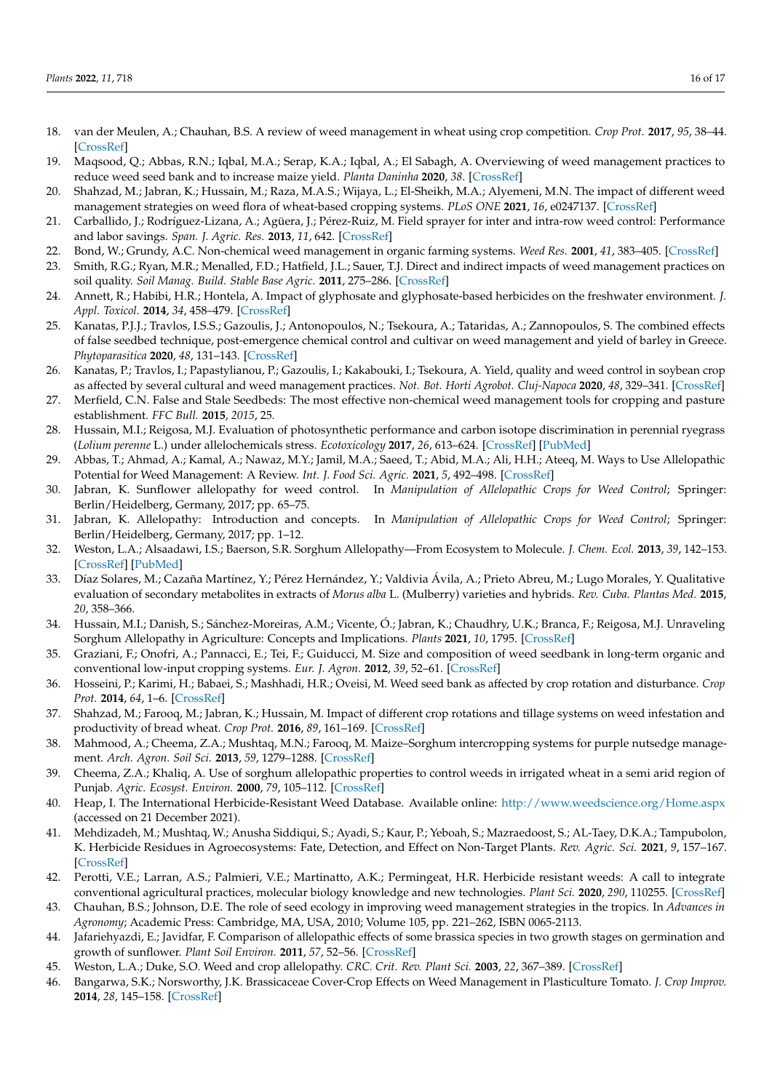- <span id="page-15-0"></span>18. van der Meulen, A.; Chauhan, B.S. A review of weed management in wheat using crop competition. *Crop Prot.* **2017**, *95*, 38–44. [\[CrossRef\]](http://doi.org/10.1016/j.cropro.2016.08.004)
- <span id="page-15-1"></span>19. Maqsood, Q.; Abbas, R.N.; Iqbal, M.A.; Serap, K.A.; Iqbal, A.; El Sabagh, A. Overviewing of weed management practices to reduce weed seed bank and to increase maize yield. *Planta Daninha* **2020**, *38*. [\[CrossRef\]](http://doi.org/10.1590/s0100-83582020380100075)
- <span id="page-15-2"></span>20. Shahzad, M.; Jabran, K.; Hussain, M.; Raza, M.A.S.; Wijaya, L.; El-Sheikh, M.A.; Alyemeni, M.N. The impact of different weed management strategies on weed flora of wheat-based cropping systems. *PLoS ONE* **2021**, *16*, e0247137. [\[CrossRef\]](http://doi.org/10.1371/journal.pone.0247137)
- <span id="page-15-3"></span>21. Carballido, J.; Rodríguez-Lizana, A.; Agüera, J.; Pérez-Ruiz, M. Field sprayer for inter and intra-row weed control: Performance and labor savings. *Span. J. Agric. Res.* **2013**, *11*, 642. [\[CrossRef\]](http://doi.org/10.5424/sjar/2013113-3812)
- <span id="page-15-4"></span>22. Bond, W.; Grundy, A.C. Non-chemical weed management in organic farming systems. *Weed Res.* **2001**, *41*, 383–405. [\[CrossRef\]](http://doi.org/10.1046/j.1365-3180.2001.00246.x)
- <span id="page-15-5"></span>23. Smith, R.G.; Ryan, M.R.; Menalled, F.D.; Hatfield, J.L.; Sauer, T.J. Direct and indirect impacts of weed management practices on soil quality. *Soil Manag. Build. Stable Base Agric.* **2011**, 275–286. [\[CrossRef\]](http://doi.org/10.2136/2011.soilmanagement.c18)
- <span id="page-15-6"></span>24. Annett, R.; Habibi, H.R.; Hontela, A. Impact of glyphosate and glyphosate-based herbicides on the freshwater environment. *J. Appl. Toxicol.* **2014**, *34*, 458–479. [\[CrossRef\]](http://doi.org/10.1002/jat.2997)
- <span id="page-15-7"></span>25. Kanatas, P.J.J.; Travlos, I.S.S.; Gazoulis, J.; Antonopoulos, N.; Tsekoura, A.; Tataridas, A.; Zannopoulos, S. The combined effects of false seedbed technique, post-emergence chemical control and cultivar on weed management and yield of barley in Greece. *Phytoparasitica* **2020**, *48*, 131–143. [\[CrossRef\]](http://doi.org/10.1007/s12600-020-00783-x)
- <span id="page-15-9"></span>26. Kanatas, P.; Travlos, I.; Papastylianou, P.; Gazoulis, I.; Kakabouki, I.; Tsekoura, A. Yield, quality and weed control in soybean crop as affected by several cultural and weed management practices. *Not. Bot. Horti Agrobot. Cluj-Napoca* **2020**, *48*, 329–341. [\[CrossRef\]](http://doi.org/10.15835/nbha48111823)
- <span id="page-15-8"></span>27. Merfield, C.N. False and Stale Seedbeds: The most effective non-chemical weed management tools for cropping and pasture establishment. *FFC Bull.* **2015**, *2015*, 25.
- <span id="page-15-10"></span>28. Hussain, M.I.; Reigosa, M.J. Evaluation of photosynthetic performance and carbon isotope discrimination in perennial ryegrass (*Lolium perenne* L.) under allelochemicals stress. *Ecotoxicology* **2017**, *26*, 613–624. [\[CrossRef\]](http://doi.org/10.1007/s10646-017-1794-3) [\[PubMed\]](http://www.ncbi.nlm.nih.gov/pubmed/28378127)
- <span id="page-15-11"></span>29. Abbas, T.; Ahmad, A.; Kamal, A.; Nawaz, M.Y.; Jamil, M.A.; Saeed, T.; Abid, M.A.; Ali, H.H.; Ateeq, M. Ways to Use Allelopathic Potential for Weed Management: A Review. *Int. J. Food Sci. Agric.* **2021**, *5*, 492–498. [\[CrossRef\]](http://doi.org/10.26855/ijfsa.2021.09.020)
- <span id="page-15-18"></span>30. Jabran, K. Sunflower allelopathy for weed control. In *Manipulation of Allelopathic Crops for Weed Control*; Springer: Berlin/Heidelberg, Germany, 2017; pp. 65–75.
- <span id="page-15-12"></span>31. Jabran, K. Allelopathy: Introduction and concepts. In *Manipulation of Allelopathic Crops for Weed Control*; Springer: Berlin/Heidelberg, Germany, 2017; pp. 1–12.
- <span id="page-15-13"></span>32. Weston, L.A.; Alsaadawi, I.S.; Baerson, S.R. Sorghum Allelopathy—From Ecosystem to Molecule. *J. Chem. Ecol.* **2013**, *39*, 142–153. [\[CrossRef\]](http://doi.org/10.1007/s10886-013-0245-8) [\[PubMed\]](http://www.ncbi.nlm.nih.gov/pubmed/23393005)
- <span id="page-15-28"></span>33. Díaz Solares, M.; Cazaña Martínez, Y.; Pérez Hernández, Y.; Valdivia Ávila, A.; Prieto Abreu, M.; Lugo Morales, Y. Qualitative evaluation of secondary metabolites in extracts of *Morus alba* L. (Mulberry) varieties and hybrids. *Rev. Cuba. Plantas Med.* **2015**, *20*, 358–366.
- <span id="page-15-14"></span>34. Hussain, M.I.; Danish, S.; Sánchez-Moreiras, A.M.; Vicente, Ó.; Jabran, K.; Chaudhry, U.K.; Branca, F.; Reigosa, M.J. Unraveling Sorghum Allelopathy in Agriculture: Concepts and Implications. *Plants* **2021**, *10*, 1795. [\[CrossRef\]](http://doi.org/10.3390/plants10091795)
- <span id="page-15-15"></span>35. Graziani, F.; Onofri, A.; Pannacci, E.; Tei, F.; Guiducci, M. Size and composition of weed seedbank in long-term organic and conventional low-input cropping systems. *Eur. J. Agron.* **2012**, *39*, 52–61. [\[CrossRef\]](http://doi.org/10.1016/j.eja.2012.01.008)
- <span id="page-15-16"></span>36. Hosseini, P.; Karimi, H.; Babaei, S.; Mashhadi, H.R.; Oveisi, M. Weed seed bank as affected by crop rotation and disturbance. *Crop Prot.* **2014**, *64*, 1–6. [\[CrossRef\]](http://doi.org/10.1016/j.cropro.2014.05.022)
- <span id="page-15-17"></span>37. Shahzad, M.; Farooq, M.; Jabran, K.; Hussain, M. Impact of different crop rotations and tillage systems on weed infestation and productivity of bread wheat. *Crop Prot.* **2016**, *89*, 161–169. [\[CrossRef\]](http://doi.org/10.1016/j.cropro.2016.07.019)
- <span id="page-15-19"></span>38. Mahmood, A.; Cheema, Z.A.; Mushtaq, M.N.; Farooq, M. Maize–Sorghum intercropping systems for purple nutsedge management. *Arch. Agron. Soil Sci.* **2013**, *59*, 1279–1288. [\[CrossRef\]](http://doi.org/10.1080/03650340.2012.704547)
- <span id="page-15-20"></span>39. Cheema, Z.A.; Khaliq, A. Use of sorghum allelopathic properties to control weeds in irrigated wheat in a semi arid region of Punjab. *Agric. Ecosyst. Environ.* **2000**, *79*, 105–112. [\[CrossRef\]](http://doi.org/10.1016/S0167-8809(99)00140-1)
- <span id="page-15-21"></span>40. Heap, I. The International Herbicide-Resistant Weed Database. Available online: <http://www.weedscience.org/Home.aspx> (accessed on 21 December 2021).
- <span id="page-15-22"></span>41. Mehdizadeh, M.; Mushtaq, W.; Anusha Siddiqui, S.; Ayadi, S.; Kaur, P.; Yeboah, S.; Mazraedoost, S.; AL-Taey, D.K.A.; Tampubolon, K. Herbicide Residues in Agroecosystems: Fate, Detection, and Effect on Non-Target Plants. *Rev. Agric. Sci.* **2021**, *9*, 157–167. [\[CrossRef\]](http://doi.org/10.7831/ras.9.0_157)
- <span id="page-15-23"></span>42. Perotti, V.E.; Larran, A.S.; Palmieri, V.E.; Martinatto, A.K.; Permingeat, H.R. Herbicide resistant weeds: A call to integrate conventional agricultural practices, molecular biology knowledge and new technologies. *Plant Sci.* **2020**, *290*, 110255. [\[CrossRef\]](http://doi.org/10.1016/j.plantsci.2019.110255)
- <span id="page-15-24"></span>43. Chauhan, B.S.; Johnson, D.E. The role of seed ecology in improving weed management strategies in the tropics. In *Advances in Agronomy*; Academic Press: Cambridge, MA, USA, 2010; Volume 105, pp. 221–262, ISBN 0065-2113.
- <span id="page-15-25"></span>44. Jafariehyazdi, E.; Javidfar, F. Comparison of allelopathic effects of some brassica species in two growth stages on germination and growth of sunflower. *Plant Soil Environ.* **2011**, *57*, 52–56. [\[CrossRef\]](http://doi.org/10.17221/139/2010-PSE)
- <span id="page-15-26"></span>45. Weston, L.A.; Duke, S.O. Weed and crop allelopathy. *CRC. Crit. Rev. Plant Sci.* **2003**, *22*, 367–389. [\[CrossRef\]](http://doi.org/10.1080/713610861)
- <span id="page-15-27"></span>46. Bangarwa, S.K.; Norsworthy, J.K. Brassicaceae Cover-Crop Effects on Weed Management in Plasticulture Tomato. *J. Crop Improv.* **2014**, *28*, 145–158. [\[CrossRef\]](http://doi.org/10.1080/15427528.2013.858381)